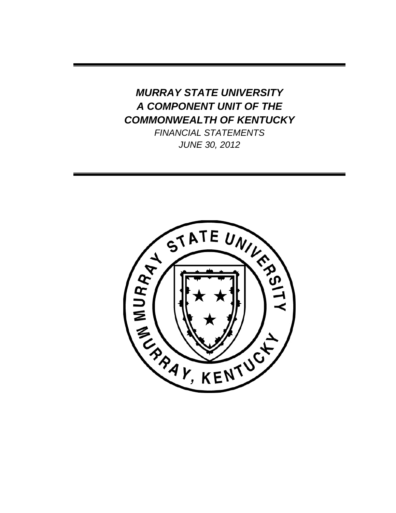# *MURRAY STATE UNIVERSITY A COMPONENT UNIT OF THE COMMONWEALTH OF KENTUCKY*

*FINANCIAL STATEMENTS JUNE 30, 2012*

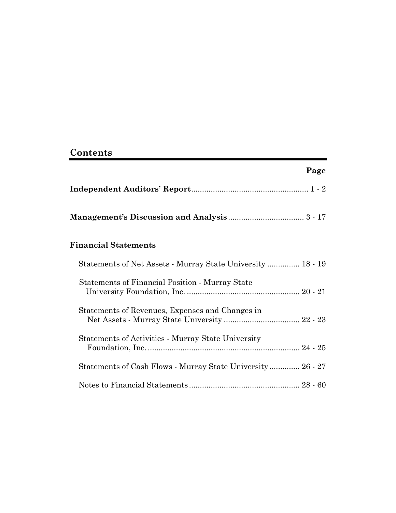## **Contents**

|                                                             | Page |
|-------------------------------------------------------------|------|
|                                                             |      |
|                                                             |      |
| <b>Financial Statements</b>                                 |      |
| Statements of Net Assets - Murray State University  18 - 19 |      |
| Statements of Financial Position - Murray State             |      |
| Statements of Revenues, Expenses and Changes in             |      |
| <b>Statements of Activities - Murray State University</b>   |      |
| Statements of Cash Flows - Murray State University 26 - 27  |      |
|                                                             |      |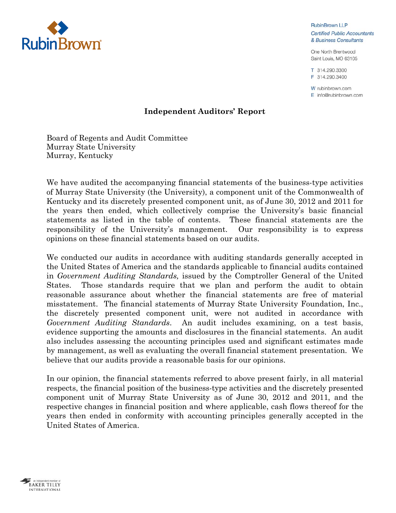

**RubinBrown LLP Certified Public Accountants** & Business Consultants

One North Brentwood Saint Louis, MO 63105

T 314.290.3300 F 314.290.3400

W rubinbrown.com  $E$  info@rubinbrown.com

## **Independent Auditors' Report**

Board of Regents and Audit Committee Murray State University Murray, Kentucky

We have audited the accompanying financial statements of the business-type activities of Murray State University (the University), a component unit of the Commonwealth of Kentucky and its discretely presented component unit, as of June 30, 2012 and 2011 for the years then ended, which collectively comprise the University's basic financial statements as listed in the table of contents. These financial statements are the responsibility of the University's management. Our responsibility is to express opinions on these financial statements based on our audits.

We conducted our audits in accordance with auditing standards generally accepted in the United States of America and the standards applicable to financial audits contained in *Government Auditing Standards,* issued by the Comptroller General of the United States. Those standards require that we plan and perform the audit to obtain reasonable assurance about whether the financial statements are free of material misstatement. The financial statements of Murray State University Foundation, Inc., the discretely presented component unit, were not audited in accordance with *Government Auditing Standards*. An audit includes examining, on a test basis, evidence supporting the amounts and disclosures in the financial statements. An audit also includes assessing the accounting principles used and significant estimates made by management, as well as evaluating the overall financial statement presentation. We believe that our audits provide a reasonable basis for our opinions.

In our opinion, the financial statements referred to above present fairly, in all material respects, the financial position of the business-type activities and the discretely presented component unit of Murray State University as of June 30, 2012 and 2011, and the respective changes in financial position and where applicable, cash flows thereof for the years then ended in conformity with accounting principles generally accepted in the United States of America.

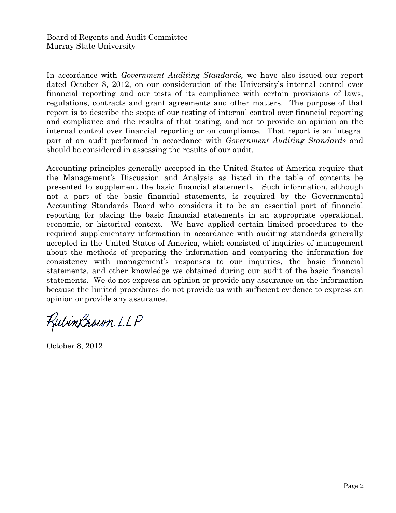In accordance with *Government Auditing Standards,* we have also issued our report dated October 8, 2012, on our consideration of the University's internal control over financial reporting and our tests of its compliance with certain provisions of laws, regulations, contracts and grant agreements and other matters. The purpose of that report is to describe the scope of our testing of internal control over financial reporting and compliance and the results of that testing, and not to provide an opinion on the internal control over financial reporting or on compliance. That report is an integral part of an audit performed in accordance with *Government Auditing Standards* and should be considered in assessing the results of our audit.

Accounting principles generally accepted in the United States of America require that the Management's Discussion and Analysis as listed in the table of contents be presented to supplement the basic financial statements. Such information, although not a part of the basic financial statements, is required by the Governmental Accounting Standards Board who considers it to be an essential part of financial reporting for placing the basic financial statements in an appropriate operational, economic, or historical context. We have applied certain limited procedures to the required supplementary information in accordance with auditing standards generally accepted in the United States of America, which consisted of inquiries of management about the methods of preparing the information and comparing the information for consistency with management's responses to our inquiries, the basic financial statements, and other knowledge we obtained during our audit of the basic financial statements. We do not express an opinion or provide any assurance on the information because the limited procedures do not provide us with sufficient evidence to express an opinion or provide any assurance.

RubinBrown LLP

October 8, 2012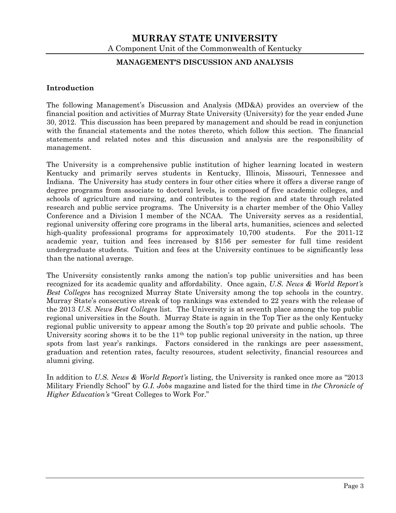#### **MANAGEMENT'S DISCUSSION AND ANALYSIS**

#### **Introduction**

The following Management's Discussion and Analysis (MD&A) provides an overview of the financial position and activities of Murray State University (University) for the year ended June 30, 2012. This discussion has been prepared by management and should be read in conjunction with the financial statements and the notes thereto, which follow this section. The financial statements and related notes and this discussion and analysis are the responsibility of management.

The University is a comprehensive public institution of higher learning located in western Kentucky and primarily serves students in Kentucky, Illinois, Missouri, Tennessee and Indiana. The University has study centers in four other cities where it offers a diverse range of degree programs from associate to doctoral levels, is composed of five academic colleges, and schools of agriculture and nursing, and contributes to the region and state through related research and public service programs. The University is a charter member of the Ohio Valley Conference and a Division I member of the NCAA. The University serves as a residential, regional university offering core programs in the liberal arts, humanities, sciences and selected high-quality professional programs for approximately 10,700 students. For the 2011-12 academic year, tuition and fees increased by \$156 per semester for full time resident undergraduate students. Tuition and fees at the University continues to be significantly less than the national average.

The University consistently ranks among the nation's top public universities and has been recognized for its academic quality and affordability. Once again, *U.S. News & World Report's Best Colleges* has recognized Murray State University among the top schools in the country. Murray State's consecutive streak of top rankings was extended to 22 years with the release of the 2013 *U.S. News Best Colleges* list. The University is at seventh place among the top public regional universities in the South. Murray State is again in the Top Tier as the only Kentucky regional public university to appear among the South's top 20 private and public schools. The University scoring shows it to be the 11<sup>th</sup> top public regional university in the nation, up three spots from last year's rankings. Factors considered in the rankings are peer assessment, graduation and retention rates, faculty resources, student selectivity, financial resources and alumni giving.

In addition to *U.S. News & World Report's* listing, the University is ranked once more as "2013 Military Friendly School" by *G.I. Jobs* magazine and listed for the third time in *the Chronicle of Higher Education's* "Great Colleges to Work For."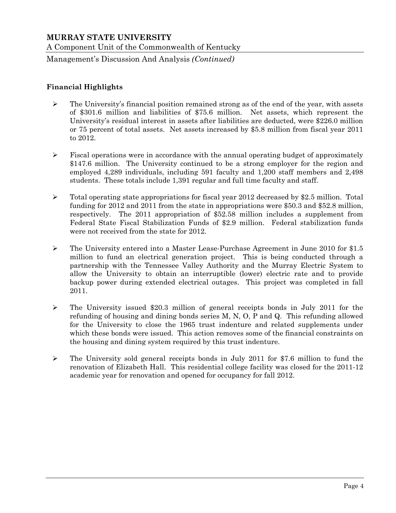Management's Discussion And Analysis *(Continued)*

## **Financial Highlights**

- $\triangleright$  The University's financial position remained strong as of the end of the year, with assets of \$301.6 million and liabilities of \$75.6 million. Net assets, which represent the University's residual interest in assets after liabilities are deducted, were \$226.0 million or 75 percent of total assets. Net assets increased by \$5.8 million from fiscal year 2011 to 2012.
- $\triangleright$  Fiscal operations were in accordance with the annual operating budget of approximately \$147.6 million. The University continued to be a strong employer for the region and employed 4,289 individuals, including 591 faculty and 1,200 staff members and 2,498 students. These totals include 1,391 regular and full time faculty and staff.
- $\triangleright$  Total operating state appropriations for fiscal year 2012 decreased by \$2.5 million. Total funding for 2012 and 2011 from the state in appropriations were \$50.3 and \$52.8 million, respectively. The 2011 appropriation of \$52.58 million includes a supplement from Federal State Fiscal Stabilization Funds of \$2.9 million. Federal stabilization funds were not received from the state for 2012.
- The University entered into a Master Lease-Purchase Agreement in June 2010 for \$1.5 million to fund an electrical generation project. This is being conducted through a partnership with the Tennessee Valley Authority and the Murray Electric System to allow the University to obtain an interruptible (lower) electric rate and to provide backup power during extended electrical outages. This project was completed in fall 2011.
- $\geq$  The University issued \$20.3 million of general receipts bonds in July 2011 for the refunding of housing and dining bonds series M, N, O, P and Q. This refunding allowed for the University to close the 1965 trust indenture and related supplements under which these bonds were issued. This action removes some of the financial constraints on the housing and dining system required by this trust indenture.
- $\triangleright$  The University sold general receipts bonds in July 2011 for \$7.6 million to fund the renovation of Elizabeth Hall. This residential college facility was closed for the 2011-12 academic year for renovation and opened for occupancy for fall 2012.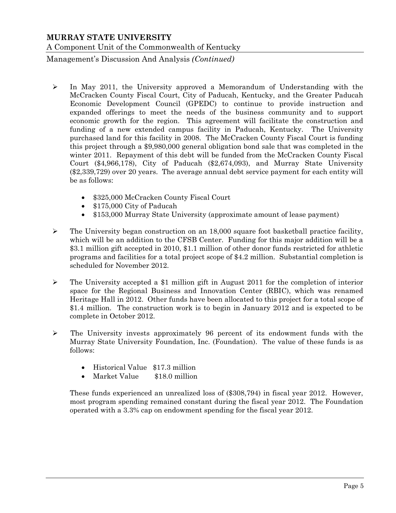Management's Discussion And Analysis *(Continued)*

- $\geq$  In May 2011, the University approved a Memorandum of Understanding with the McCracken County Fiscal Court, City of Paducah, Kentucky, and the Greater Paducah Economic Development Council (GPEDC) to continue to provide instruction and expanded offerings to meet the needs of the business community and to support economic growth for the region. This agreement will facilitate the construction and funding of a new extended campus facility in Paducah, Kentucky. The University purchased land for this facility in 2008. The McCracken County Fiscal Court is funding this project through a \$9,980,000 general obligation bond sale that was completed in the winter 2011. Repayment of this debt will be funded from the McCracken County Fiscal Court (\$4,966,178), City of Paducah (\$2,674,093), and Murray State University (\$2,339,729) over 20 years. The average annual debt service payment for each entity will be as follows:
	- \$325,000 McCracken County Fiscal Court
	- \$175,000 City of Paducah
	- \$153,000 Murray State University (approximate amount of lease payment)
- $\triangleright$  The University began construction on an 18,000 square foot basketball practice facility, which will be an addition to the CFSB Center. Funding for this major addition will be a \$3.1 million gift accepted in 2010, \$1.1 million of other donor funds restricted for athletic programs and facilities for a total project scope of \$4.2 million. Substantial completion is scheduled for November 2012.
- $\triangleright$  The University accepted a \$1 million gift in August 2011 for the completion of interior space for the Regional Business and Innovation Center (RBIC), which was renamed Heritage Hall in 2012. Other funds have been allocated to this project for a total scope of \$1.4 million. The construction work is to begin in January 2012 and is expected to be complete in October 2012.
- $\triangleright$  The University invests approximately 96 percent of its endowment funds with the Murray State University Foundation, Inc. (Foundation). The value of these funds is as follows:
	- Historical Value \$17.3 million
	- Market Value \$18.0 million

These funds experienced an unrealized loss of (\$308,794) in fiscal year 2012. However, most program spending remained constant during the fiscal year 2012. The Foundation operated with a 3.3% cap on endowment spending for the fiscal year 2012.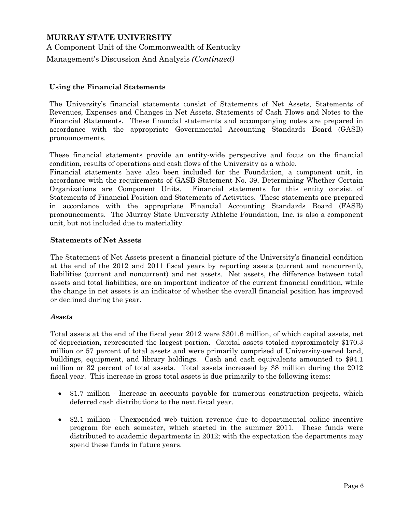A Component Unit of the Commonwealth of Kentucky

Management's Discussion And Analysis *(Continued)*

#### **Using the Financial Statements**

The University's financial statements consist of Statements of Net Assets, Statements of Revenues, Expenses and Changes in Net Assets, Statements of Cash Flows and Notes to the Financial Statements. These financial statements and accompanying notes are prepared in accordance with the appropriate Governmental Accounting Standards Board (GASB) pronouncements.

These financial statements provide an entity-wide perspective and focus on the financial condition, results of operations and cash flows of the University as a whole.

Financial statements have also been included for the Foundation, a component unit, in accordance with the requirements of GASB Statement No. 39, Determining Whether Certain Organizations are Component Units. Financial statements for this entity consist of Statements of Financial Position and Statements of Activities. These statements are prepared in accordance with the appropriate Financial Accounting Standards Board (FASB) pronouncements. The Murray State University Athletic Foundation, Inc. is also a component unit, but not included due to materiality.

#### **Statements of Net Assets**

The Statement of Net Assets present a financial picture of the University's financial condition at the end of the 2012 and 2011 fiscal years by reporting assets (current and noncurrent), liabilities (current and noncurrent) and net assets. Net assets, the difference between total assets and total liabilities, are an important indicator of the current financial condition, while the change in net assets is an indicator of whether the overall financial position has improved or declined during the year.

#### *Assets*

Total assets at the end of the fiscal year 2012 were \$301.6 million, of which capital assets, net of depreciation, represented the largest portion. Capital assets totaled approximately \$170.3 million or 57 percent of total assets and were primarily comprised of University-owned land, buildings, equipment, and library holdings. Cash and cash equivalents amounted to \$94.1 million or 32 percent of total assets. Total assets increased by \$8 million during the 2012 fiscal year. This increase in gross total assets is due primarily to the following items:

- \$1.7 million Increase in accounts payable for numerous construction projects, which deferred cash distributions to the next fiscal year.
- \$2.1 million Unexpended web tuition revenue due to departmental online incentive program for each semester, which started in the summer 2011. These funds were distributed to academic departments in 2012; with the expectation the departments may spend these funds in future years.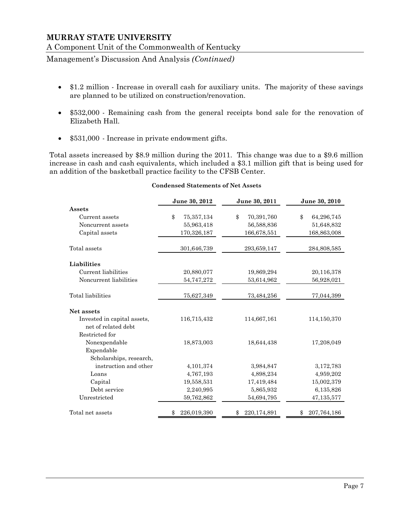Management's Discussion And Analysis *(Continued)*

- \$1.2 million Increase in overall cash for auxiliary units. The majority of these savings are planned to be utilized on construction/renovation.
- \$532,000 Remaining cash from the general receipts bond sale for the renovation of Elizabeth Hall.
- \$531,000 Increase in private endowment gifts.

Total assets increased by \$8.9 million during the 2011. This change was due to a \$9.6 million increase in cash and cash equivalents, which included a \$3.1 million gift that is being used for an addition of the basketball practice facility to the CFSB Center.

|                             | June 30, 2012      | June 30, 2011              | June 30, 2010    |
|-----------------------------|--------------------|----------------------------|------------------|
| <b>Assets</b>               |                    |                            |                  |
| Current assets              | \$<br>75, 357, 134 | $\mathbb{S}$<br>70,391,760 | \$<br>64,296,745 |
| Noncurrent assets           | 55,963,418         | 56,588,836                 | 51,648,832       |
| Capital assets              | 170,326,187        | 166,678,551                | 168,863,008      |
| Total assets                | 301,646,739        | 293,659,147                | 284,808,585      |
| Liabilities                 |                    |                            |                  |
| Current liabilities         | 20,880,077         | 19,869,294                 | 20,116,378       |
| Noncurrent liabilities      | 54,747,272         | 53,614,962                 | 56,928,021       |
| Total liabilities           | 75,627,349         | 73,484,256                 | 77,044,399       |
| Net assets                  |                    |                            |                  |
| Invested in capital assets, | 116,715,432        | 114,667,161                | 114,150,370      |
| net of related debt         |                    |                            |                  |
| Restricted for              |                    |                            |                  |
| Nonexpendable               | 18,873,003         | 18,644,438                 | 17,208,049       |
| Expendable                  |                    |                            |                  |
| Scholarships, research,     |                    |                            |                  |
| instruction and other       | 4,101,374          | 3,984,847                  | 3,172,783        |
| Loans                       | 4,767,193          | 4,898,234                  | 4,959,202        |
| Capital                     | 19,558,531         | 17,419,484                 | 15,002,379       |
| Debt service                | 2,240,995          | 5,865,932                  | 6,135,826        |
| Unrestricted                | 59,762,862         | 54,694,795                 | 47,135,577       |
| Total net assets            | 226,019,390<br>\$  | 220,174,891                | 207,764,186      |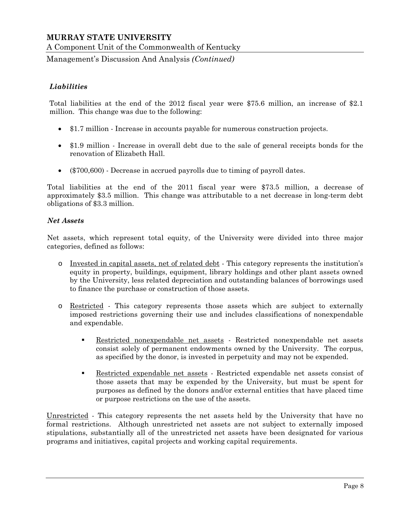A Component Unit of the Commonwealth of Kentucky

Management's Discussion And Analysis *(Continued)*

## *Liabilities*

Total liabilities at the end of the 2012 fiscal year were \$75.6 million, an increase of \$2.1 million. This change was due to the following:

- \$1.7 million Increase in accounts payable for numerous construction projects.
- \$1.9 million Increase in overall debt due to the sale of general receipts bonds for the renovation of Elizabeth Hall.
- (\$700,600) Decrease in accrued payrolls due to timing of payroll dates.

Total liabilities at the end of the 2011 fiscal year were \$73.5 million, a decrease of approximately \$3.5 million. This change was attributable to a net decrease in long-term debt obligations of \$3.3 million.

#### *Net Assets*

Net assets, which represent total equity, of the University were divided into three major categories, defined as follows:

- o Invested in capital assets, net of related debt This category represents the institution's equity in property, buildings, equipment, library holdings and other plant assets owned by the University, less related depreciation and outstanding balances of borrowings used to finance the purchase or construction of those assets.
- o Restricted This category represents those assets which are subject to externally imposed restrictions governing their use and includes classifications of nonexpendable and expendable.
	- Restricted nonexpendable net assets Restricted nonexpendable net assets consist solely of permanent endowments owned by the University. The corpus, as specified by the donor, is invested in perpetuity and may not be expended.
	- **Restricted expendable net assets** Restricted expendable net assets consist of those assets that may be expended by the University, but must be spent for purposes as defined by the donors and/or external entities that have placed time or purpose restrictions on the use of the assets.

Unrestricted - This category represents the net assets held by the University that have no formal restrictions. Although unrestricted net assets are not subject to externally imposed stipulations, substantially all of the unrestricted net assets have been designated for various programs and initiatives, capital projects and working capital requirements.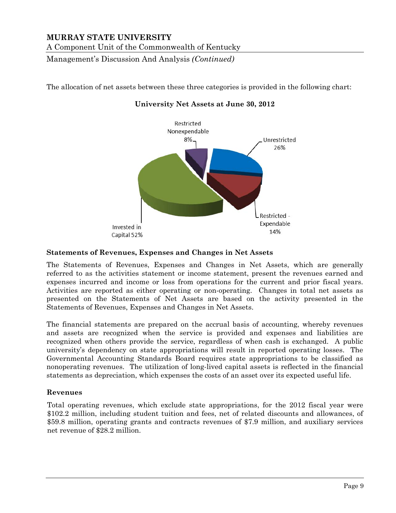Management's Discussion And Analysis *(Continued)*

The allocation of net assets between these three categories is provided in the following chart:



#### **University Net Assets at June 30, 2012**

#### **Statements of Revenues, Expenses and Changes in Net Assets**

The Statements of Revenues, Expenses and Changes in Net Assets, which are generally referred to as the activities statement or income statement, present the revenues earned and expenses incurred and income or loss from operations for the current and prior fiscal years. Activities are reported as either operating or non-operating. Changes in total net assets as presented on the Statements of Net Assets are based on the activity presented in the Statements of Revenues, Expenses and Changes in Net Assets.

The financial statements are prepared on the accrual basis of accounting, whereby revenues and assets are recognized when the service is provided and expenses and liabilities are recognized when others provide the service, regardless of when cash is exchanged. A public university's dependency on state appropriations will result in reported operating losses. The Governmental Accounting Standards Board requires state appropriations to be classified as nonoperating revenues. The utilization of long-lived capital assets is reflected in the financial statements as depreciation, which expenses the costs of an asset over its expected useful life.

#### **Revenues**

Total operating revenues, which exclude state appropriations, for the 2012 fiscal year were \$102.2 million, including student tuition and fees, net of related discounts and allowances, of \$59.8 million, operating grants and contracts revenues of \$7.9 million, and auxiliary services net revenue of \$28.2 million.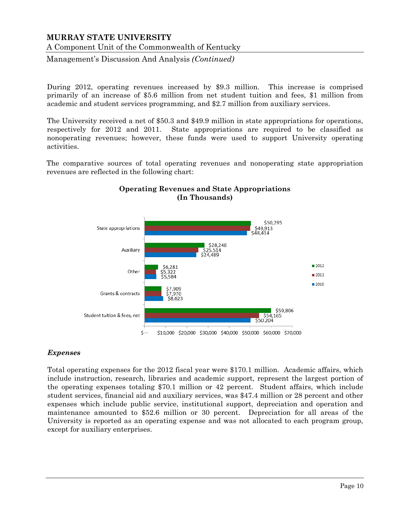A Component Unit of the Commonwealth of Kentucky

Management's Discussion And Analysis *(Continued)*

During 2012, operating revenues increased by \$9.3 million. This increase is comprised primarily of an increase of \$5.6 million from net student tuition and fees, \$1 million from academic and student services programming, and \$2.7 million from auxiliary services.

The University received a net of \$50.3 and \$49.9 million in state appropriations for operations, respectively for 2012 and 2011. State appropriations are required to be classified as nonoperating revenues; however, these funds were used to support University operating activities.

The comparative sources of total operating revenues and nonoperating state appropriation revenues are reflected in the following chart:



## **Operating Revenues and State Appropriations (In Thousands)**

#### *Expenses*

Total operating expenses for the 2012 fiscal year were \$170.1 million. Academic affairs, which include instruction, research, libraries and academic support, represent the largest portion of the operating expenses totaling \$70.1 million or 42 percent. Student affairs, which include student services, financial aid and auxiliary services, was \$47.4 million or 28 percent and other expenses which include public service, institutional support, depreciation and operation and maintenance amounted to \$52.6 million or 30 percent. Depreciation for all areas of the University is reported as an operating expense and was not allocated to each program group, except for auxiliary enterprises.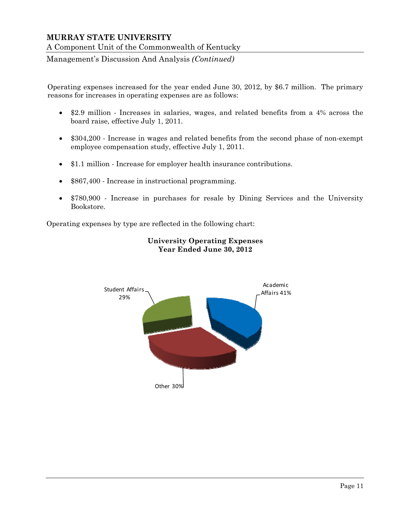Management's Discussion And Analysis *(Continued)*

Operating expenses increased for the year ended June 30, 2012, by \$6.7 million. The primary reasons for increases in operating expenses are as follows:

- \$2.9 million Increases in salaries, wages, and related benefits from a 4% across the board raise, effective July 1, 2011.
- \$304,200 Increase in wages and related benefits from the second phase of non-exempt employee compensation study, effective July 1, 2011.
- \$1.1 million Increase for employer health insurance contributions.
- \$867,400 Increase in instructional programming.
- \$780,900 Increase in purchases for resale by Dining Services and the University Bookstore.

Operating expenses by type are reflected in the following chart:



## **University Operating Expenses Year Ended June 30, 2012**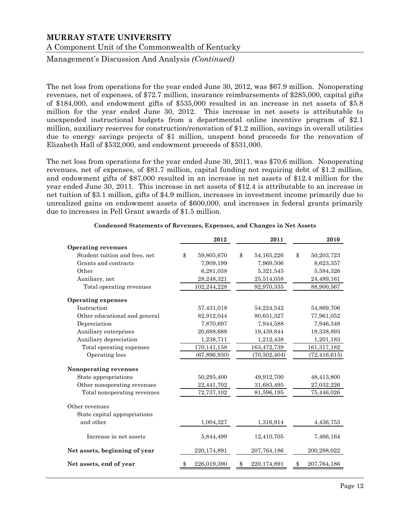Management's Discussion And Analysis *(Continued)*

The net loss from operations for the year ended June 30, 2012, was \$67.9 million. Nonoperating revenues, net of expenses, of \$72.7 million, insurance reimbursements of \$285,000, capital gifts of \$184,000, and endowment gifts of \$535,000 resulted in an increase in net assets of \$5.8 million for the year ended June 30, 2012. This increase in net assets is attributable to unexpended instructional budgets from a departmental online incentive program of \$2.1 million, auxiliary reserves for construction/renovation of \$1.2 million, savings in overall utilities due to energy savings projects of \$1 million, unspent bond proceeds for the renovation of Elizabeth Hall of \$532,000, and endowment proceeds of \$531,000.

The net loss from operations for the year ended June 30, 2011, was \$70.6 million. Nonoperating revenues, net of expenses, of \$81.7 million, capital funding not requiring debt of \$1.2 million, and endowment gifts of \$87,000 resulted in an increase in net assets of \$12.4 million for the year ended June 30, 2011. This increase in net assets of \$12.4 is attributable to an increase in net tuition of \$3.1 million, gifts of \$4.9 million, increases in investment income primarily due to unrealized gains on endowment assets of \$600,000, and increases in federal grants primarily due to increases in Pell Grant awards of \$1.5 million.

|    |                                                                                                                                                                                                                                                                                  | 2011           | 2010             |
|----|----------------------------------------------------------------------------------------------------------------------------------------------------------------------------------------------------------------------------------------------------------------------------------|----------------|------------------|
|    |                                                                                                                                                                                                                                                                                  |                |                  |
| \$ | \$                                                                                                                                                                                                                                                                               | 54, 165, 226   | \$<br>50,203,723 |
|    |                                                                                                                                                                                                                                                                                  | 7,969,506      | 8,623,357        |
|    |                                                                                                                                                                                                                                                                                  | 5,321,545      | 5,584,326        |
|    |                                                                                                                                                                                                                                                                                  | 25,514,058     | 24,489,161       |
|    |                                                                                                                                                                                                                                                                                  | 92,970,335     | 88,900,567       |
|    |                                                                                                                                                                                                                                                                                  |                |                  |
|    |                                                                                                                                                                                                                                                                                  | 54,224,542     | 54,869,706       |
|    |                                                                                                                                                                                                                                                                                  | 80,651,327     | 77,961,052       |
|    |                                                                                                                                                                                                                                                                                  | 7,944,588      | 7,946,348        |
|    |                                                                                                                                                                                                                                                                                  | 19,439,844     | 19,338,893       |
|    |                                                                                                                                                                                                                                                                                  | 1,212,438      | 1,201,183        |
|    |                                                                                                                                                                                                                                                                                  | 163,472,739    | 161, 317, 182    |
|    |                                                                                                                                                                                                                                                                                  | (70, 502, 404) | (72, 416, 615)   |
|    |                                                                                                                                                                                                                                                                                  |                |                  |
|    |                                                                                                                                                                                                                                                                                  | 49,912,700     | 48,413,800       |
|    |                                                                                                                                                                                                                                                                                  | 31,683,495     | 27,032,226       |
|    |                                                                                                                                                                                                                                                                                  | 81,596,195     | 75,446,026       |
|    |                                                                                                                                                                                                                                                                                  |                |                  |
|    |                                                                                                                                                                                                                                                                                  |                |                  |
|    |                                                                                                                                                                                                                                                                                  | 1,316,914      | 4,436,753        |
|    |                                                                                                                                                                                                                                                                                  | 12,410,705     | 7,466,164        |
|    |                                                                                                                                                                                                                                                                                  | 207,764,186    | 200,298,022      |
|    |                                                                                                                                                                                                                                                                                  | 220,174,891    | 207, 764, 186    |
|    | 2012<br>59,805,670<br>7,909,199<br>6,281,038<br>28,248,321<br>102,244,228<br>57,431,018<br>82,912,044<br>7,870,697<br>20,688,688<br>1,238,711<br>170,141,158<br>(67, 896, 930)<br>50,295,400<br>22,441,702<br>72,737,102<br>1,004,327<br>5,844,499<br>220,174,891<br>226,019,390 |                |                  |

#### **Condensed Statements of Revenues, Expenses, and Changes in Net Assets**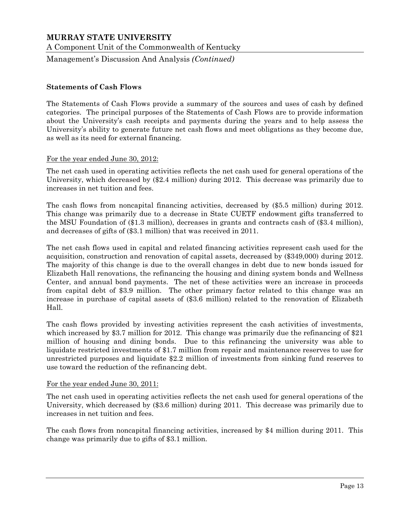A Component Unit of the Commonwealth of Kentucky

Management's Discussion And Analysis *(Continued)*

#### **Statements of Cash Flows**

The Statements of Cash Flows provide a summary of the sources and uses of cash by defined categories. The principal purposes of the Statements of Cash Flows are to provide information about the University's cash receipts and payments during the years and to help assess the University's ability to generate future net cash flows and meet obligations as they become due, as well as its need for external financing.

#### For the year ended June 30, 2012:

The net cash used in operating activities reflects the net cash used for general operations of the University, which decreased by (\$2.4 million) during 2012. This decrease was primarily due to increases in net tuition and fees.

The cash flows from noncapital financing activities, decreased by (\$5.5 million) during 2012. This change was primarily due to a decrease in State CUETF endowment gifts transferred to the MSU Foundation of (\$1.3 million), decreases in grants and contracts cash of (\$3.4 million), and decreases of gifts of (\$3.1 million) that was received in 2011.

The net cash flows used in capital and related financing activities represent cash used for the acquisition, construction and renovation of capital assets, decreased by (\$349,000) during 2012. The majority of this change is due to the overall changes in debt due to new bonds issued for Elizabeth Hall renovations, the refinancing the housing and dining system bonds and Wellness Center, and annual bond payments. The net of these activities were an increase in proceeds from capital debt of \$3.9 million. The other primary factor related to this change was an increase in purchase of capital assets of (\$3.6 million) related to the renovation of Elizabeth Hall.

The cash flows provided by investing activities represent the cash activities of investments, which increased by \$3.7 million for 2012. This change was primarily due the refinancing of \$21 million of housing and dining bonds. Due to this refinancing the university was able to liquidate restricted investments of \$1.7 million from repair and maintenance reserves to use for unrestricted purposes and liquidate \$2.2 million of investments from sinking fund reserves to use toward the reduction of the refinancing debt.

#### For the year ended June 30, 2011:

The net cash used in operating activities reflects the net cash used for general operations of the University, which decreased by (\$3.6 million) during 2011. This decrease was primarily due to increases in net tuition and fees.

The cash flows from noncapital financing activities, increased by \$4 million during 2011. This change was primarily due to gifts of \$3.1 million.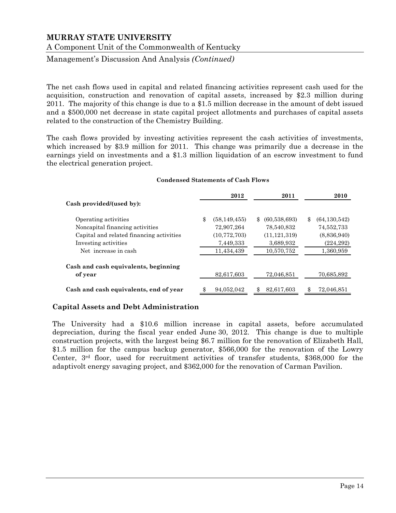Management's Discussion And Analysis *(Continued)*

The net cash flows used in capital and related financing activities represent cash used for the acquisition, construction and renovation of capital assets, increased by \$2.3 million during 2011. The majority of this change is due to a \$1.5 million decrease in the amount of debt issued and a \$500,000 net decrease in state capital project allotments and purchases of capital assets related to the construction of the Chemistry Building.

The cash flows provided by investing activities represent the cash activities of investments, which increased by \$3.9 million for 2011. This change was primarily due a decrease in the earnings yield on investments and a \$1.3 million liquidation of an escrow investment to fund the electrical generation project.

|                                          | 2012                 | 2011                 | 2010                 |
|------------------------------------------|----------------------|----------------------|----------------------|
| Cash provided/(used by):                 |                      |                      |                      |
| Operating activities                     | \$<br>(58, 149, 455) | (60, 538, 693)<br>S. | \$<br>(64, 130, 542) |
| Noncapital financing activities          | 72,907,264           | 78,540,832           | 74,552,733           |
| Capital and related financing activities | (10, 772, 703)       | (11, 121, 319)       | (8,836,940)          |
| Investing activities                     | 7,449,333            | 3,689,932            | (224, 292)           |
| Net increase in cash                     | 11,434,439           | 10,570,752           | 1,360,959            |
| Cash and cash equivalents, beginning     |                      |                      |                      |
| of year                                  | 82,617,603           | 72,046,851           | 70,685,892           |
| Cash and cash equivalents, end of year   | 94,052,042           | 82,617,603           | 72,046,851           |

#### **Condensed Statements of Cash Flows**

## **Capital Assets and Debt Administration**

The University had a \$10.6 million increase in capital assets, before accumulated depreciation, during the fiscal year ended June 30, 2012. This change is due to multiple construction projects, with the largest being \$6.7 million for the renovation of Elizabeth Hall, \$1.5 million for the campus backup generator, \$566,000 for the renovation of the Lowry Center, 3rd floor, used for recruitment activities of transfer students, \$368,000 for the adaptivolt energy savaging project, and \$362,000 for the renovation of Carman Pavilion.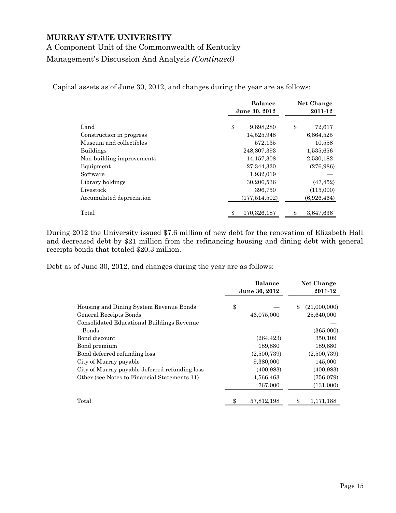A Component Unit of the Commonwealth of Kentucky

Management's Discussion And Analysis *(Continued)*

Capital assets as of June 30, 2012, and changes during the year are as follows:

|                           | <b>Balance</b>    | Net Change      |
|---------------------------|-------------------|-----------------|
|                           | June 30, 2012     | 2011-12         |
|                           |                   |                 |
| Land                      | \$<br>9,898,280   | \$<br>72,617    |
| Construction in progress  | 14,525,948        | 6,864,525       |
| Museum and collectibles   | 572,135           | 10,558          |
| <b>Buildings</b>          | 248,807,393       | 1,535,656       |
| Non-building improvements | 14, 157, 308      | 2,530,182       |
| Equipment                 | 27,344,320        | (276,986)       |
| Software                  | 1,932,019         |                 |
| Library holdings          | 30,206,536        | (47, 452)       |
| Livestock                 | 396,750           | (115,000)       |
| Accumulated depreciation  | (177, 514, 502)   | (6,926,464)     |
| Total                     | 170,326,187<br>\$ | 3,647,636<br>\$ |

During 2012 the University issued \$7.6 million of new debt for the renovation of Elizabeth Hall and decreased debt by \$21 million from the refinancing housing and dining debt with general receipts bonds that totaled \$20.3 million.

Debt as of June 30, 2012, and changes during the year are as follows:

|                                                | <b>Balance</b> | <b>Net Change</b>  |
|------------------------------------------------|----------------|--------------------|
|                                                | June 30, 2012  | 2011-12            |
|                                                |                |                    |
| Housing and Dining System Revenue Bonds        | \$             | (21,000,000)<br>\$ |
| General Receipts Bonds                         | 46,075,000     | 25,640,000         |
| Consolidated Educational Buildings Revenue     |                |                    |
| Bonds                                          |                | (365,000)          |
| Bond discount                                  | (264, 423)     | 350,109            |
| Bond premium                                   | 189,880        | 189,880            |
| Bond deferred refunding loss                   | (2,500,739)    | (2,500,739)        |
| City of Murray payable                         | 9,380,000      | 145,000            |
| City of Murray payable deferred refunding loss | (400, 983)     | (400, 983)         |
| Other (see Notes to Financial Statements 11)   | 4,566,463      | (756,079)          |
|                                                | 767,000        | (131,000)          |
| Total                                          | 57,812,198     | 1,171,188          |
|                                                |                |                    |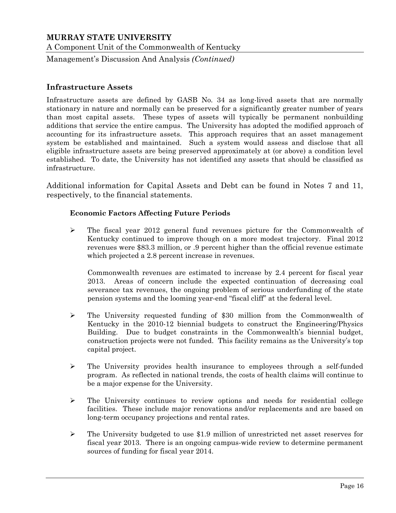Management's Discussion And Analysis *(Continued)*

## **Infrastructure Assets**

Infrastructure assets are defined by GASB No. 34 as long-lived assets that are normally stationary in nature and normally can be preserved for a significantly greater number of years than most capital assets. These types of assets will typically be permanent nonbuilding additions that service the entire campus. The University has adopted the modified approach of accounting for its infrastructure assets. This approach requires that an asset management system be established and maintained. Such a system would assess and disclose that all eligible infrastructure assets are being preserved approximately at (or above) a condition level established. To date, the University has not identified any assets that should be classified as infrastructure.

Additional information for Capital Assets and Debt can be found in Notes 7 and 11, respectively, to the financial statements.

## **Economic Factors Affecting Future Periods**

 $\triangleright$  The fiscal year 2012 general fund revenues picture for the Commonwealth of Kentucky continued to improve though on a more modest trajectory. Final 2012 revenues were \$83.3 million, or .9 percent higher than the official revenue estimate which projected a 2.8 percent increase in revenues.

Commonwealth revenues are estimated to increase by 2.4 percent for fiscal year 2013. Areas of concern include the expected continuation of decreasing coal severance tax revenues, the ongoing problem of serious underfunding of the state pension systems and the looming year-end "fiscal cliff" at the federal level.

- $\triangleright$  The University requested funding of \$30 million from the Commonwealth of Kentucky in the 2010-12 biennial budgets to construct the Engineering/Physics Building. Due to budget constraints in the Commonwealth's biennial budget, construction projects were not funded. This facility remains as the University's top capital project.
- $\triangleright$  The University provides health insurance to employees through a self-funded program. As reflected in national trends, the costs of health claims will continue to be a major expense for the University.
- $\triangleright$  The University continues to review options and needs for residential college facilities. These include major renovations and/or replacements and are based on long-term occupancy projections and rental rates.
- The University budgeted to use \$1.9 million of unrestricted net asset reserves for fiscal year 2013. There is an ongoing campus-wide review to determine permanent sources of funding for fiscal year 2014.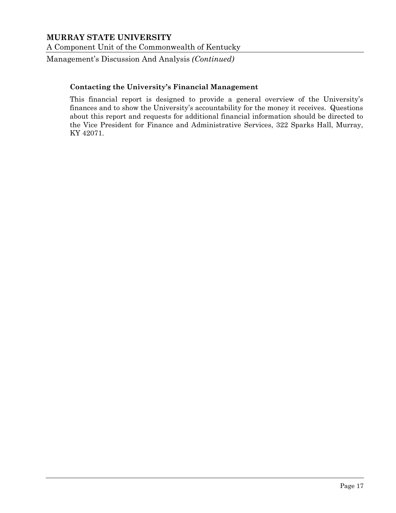A Component Unit of the Commonwealth of Kentucky

Management's Discussion And Analysis *(Continued)*

#### **Contacting the University's Financial Management**

This financial report is designed to provide a general overview of the University's finances and to show the University's accountability for the money it receives. Questions about this report and requests for additional financial information should be directed to the Vice President for Finance and Administrative Services, 322 Sparks Hall, Murray, KY 42071.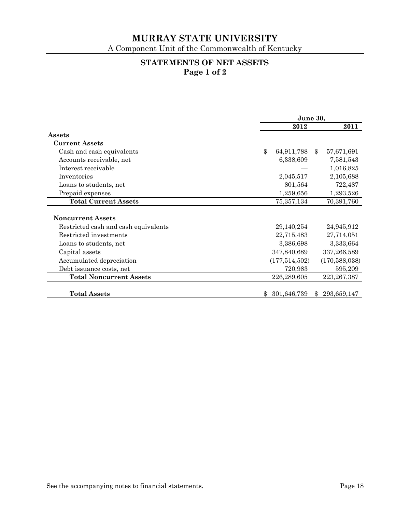A Component Unit of the Commonwealth of Kentucky

## **STATEMENTS OF NET ASSETS Page 1 of 2**

|                                      | June 30,                                 |               |                 |
|--------------------------------------|------------------------------------------|---------------|-----------------|
|                                      | 2012                                     |               | 2011            |
| Assets                               |                                          |               |                 |
| <b>Current Assets</b>                |                                          |               |                 |
| Cash and cash equivalents            | $\boldsymbol{\mathsf{\$}}$<br>64,911,788 | $\mathbf{\$}$ | 57,671,691      |
| Accounts receivable, net             | 6,338,609                                |               | 7,581,543       |
| Interest receivable                  |                                          |               | 1,016,825       |
| Inventories                          | 2,045,517                                |               | 2,105,688       |
| Loans to students, net               | 801,564                                  |               | 722,487         |
| Prepaid expenses                     | 1,259,656                                |               | 1,293,526       |
| <b>Total Current Assets</b>          | 75, 357, 134                             |               | 70,391,760      |
|                                      |                                          |               |                 |
| <b>Noncurrent Assets</b>             |                                          |               |                 |
| Restricted cash and cash equivalents | 29,140,254                               |               | 24,945,912      |
| Restricted investments               | 22,715,483                               |               | 27,714,051      |
| Loans to students, net               | 3,386,698                                |               | 3,333,664       |
| Capital assets                       | 347,840,689                              |               | 337,266,589     |
| Accumulated depreciation             | (177, 514, 502)                          |               | (170, 588, 038) |
| Debt issuance costs, net             | 720,983                                  |               | 595,209         |
| <b>Total Noncurrent Assets</b>       | 226,289,605                              |               | 223, 267, 387   |
| <b>Total Assets</b>                  | 301,646,739<br>\$,                       | $\mathcal{S}$ | 293,659,147     |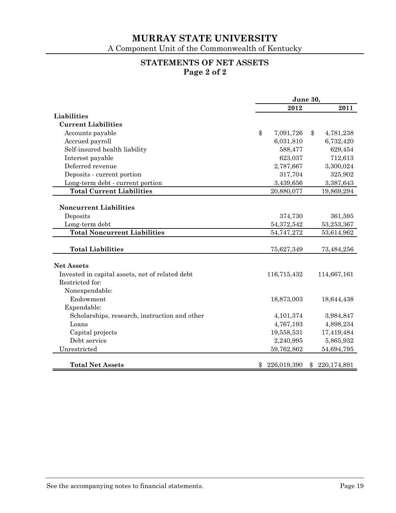A Component Unit of the Commonwealth of Kentucky

## **STATEMENTS OF NET ASSETS Page 2 of 2**

|                                                 | June 30, |             |    |             |
|-------------------------------------------------|----------|-------------|----|-------------|
|                                                 |          | 2012        |    | 2011        |
| Liabilities                                     |          |             |    |             |
| <b>Current Liabilities</b>                      |          |             |    |             |
| Accounts payable                                | \$       | 7,091,726   | \$ | 4,781,238   |
| Accrued payroll                                 |          | 6,031,810   |    | 6,732,420   |
| Self-insured health liability                   |          | 588,477     |    | 629,454     |
| Interest payable                                |          | 623,037     |    | 712,613     |
| Deferred revenue                                |          | 2,787,667   |    | 3,300,024   |
| Deposits - current portion                      |          | 317,704     |    | 325,902     |
| Long-term debt - current portion                |          | 3,439,656   |    | 3,387,643   |
| <b>Total Current Liabilities</b>                |          | 20,880,077  |    | 19,869,294  |
|                                                 |          |             |    |             |
| <b>Noncurrent Liabilities</b>                   |          |             |    |             |
| Deposits                                        |          | 374,730     |    | 361,595     |
| Long-term debt                                  |          | 54,372,542  |    | 53,253,367  |
| <b>Total Noncurrent Liabilities</b>             |          | 54,747,272  |    | 53,614,962  |
|                                                 |          |             |    |             |
| <b>Total Liabilities</b>                        |          | 75,627,349  |    | 73,484,256  |
|                                                 |          |             |    |             |
| <b>Net Assets</b>                               |          |             |    |             |
| Invested in capital assets, net of related debt |          | 116,715,432 |    | 114,667,161 |
| Restricted for:                                 |          |             |    |             |
| Nonexpendable:                                  |          |             |    |             |
| Endowment                                       |          | 18,873,003  |    | 18,644,438  |
| Expendable:                                     |          |             |    |             |
| Scholarships, research, instruction and other   |          | 4,101,374   |    | 3,984,847   |
| Loans                                           |          | 4,767,193   |    | 4,898,234   |
| Capital projects                                |          | 19,558,531  |    | 17,419,484  |
| Debt service                                    |          | 2,240,995   |    | 5,865,932   |
| Unrestricted                                    |          | 59,762,862  |    | 54,694,795  |
|                                                 |          |             |    |             |
| <b>Total Net Assets</b>                         | \$       | 226,019,390 | \$ | 220,174,891 |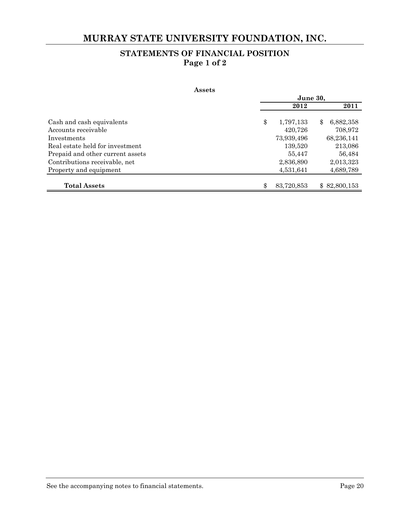## **MURRAY STATE UNIVERSITY FOUNDATION, INC.**

## **STATEMENTS OF FINANCIAL POSITION Page 1 of 2**

#### **Assets**

|                                                                     | June 30, |                        |                            |
|---------------------------------------------------------------------|----------|------------------------|----------------------------|
|                                                                     |          | 2012                   | 2011                       |
| Cash and cash equivalents<br>Accounts receivable                    | \$       | 1,797,133<br>420,726   | 6,882,358<br>\$<br>708,972 |
| Investments                                                         |          | 73,939,496             | 68,236,141                 |
| Real estate held for investment<br>Prepaid and other current assets |          | 139,520<br>55,447      | 213,086<br>56,484          |
| Contributions receivable, net<br>Property and equipment             |          | 2,836,890<br>4,531,641 | 2,013,323<br>4,689,789     |
| <b>Total Assets</b>                                                 | \$       | 83,720,853             | \$82,800,153               |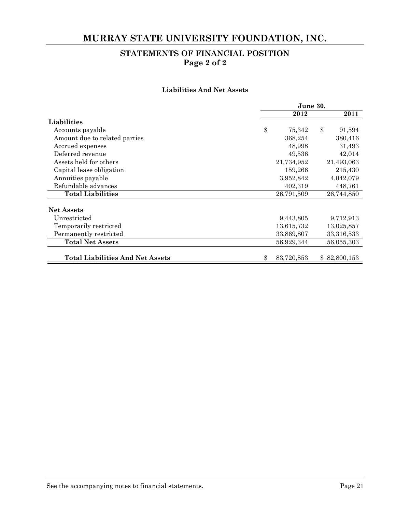## **MURRAY STATE UNIVERSITY FOUNDATION, INC.**

## **STATEMENTS OF FINANCIAL POSITION Page 2 of 2**

#### **Liabilities And Net Assets**

|                                         |    | June 30,   |               |  |
|-----------------------------------------|----|------------|---------------|--|
|                                         |    | 2012       | 2011          |  |
| Liabilities                             |    |            |               |  |
| Accounts payable                        | \$ | 75,342     | \$<br>91,594  |  |
| Amount due to related parties           |    | 368,254    | 380,416       |  |
| Accrued expenses                        |    | 48,998     | 31,493        |  |
| Deferred revenue                        |    | 49,536     | 42,014        |  |
| Assets held for others                  |    | 21,734,952 | 21,493,063    |  |
| Capital lease obligation                |    | 159,266    | 215,430       |  |
| Annuities payable                       |    | 3,952,842  | 4,042,079     |  |
| Refundable advances                     |    | 402,319    | 448,761       |  |
| <b>Total Liabilities</b>                |    | 26,791,509 | 26,744,850    |  |
| <b>Net Assets</b>                       |    |            |               |  |
| Unrestricted                            |    | 9,443,805  | 9,712,913     |  |
| Temporarily restricted                  |    | 13,615,732 | 13,025,857    |  |
| Permanently restricted                  |    | 33,869,807 | 33,316,533    |  |
| <b>Total Net Assets</b>                 |    | 56,929,344 | 56,055,303    |  |
|                                         |    |            |               |  |
| <b>Total Liabilities And Net Assets</b> | Ж, | 83,720,853 | \$ 82,800,153 |  |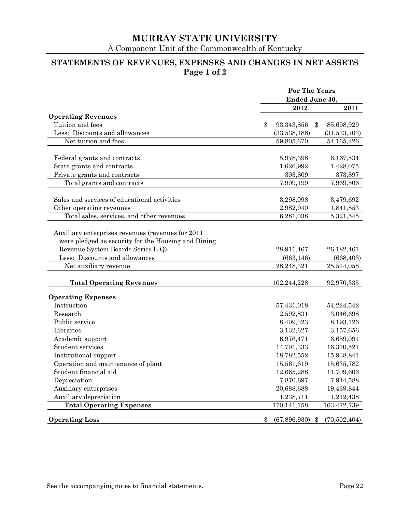A Component Unit of the Commonwealth of Kentucky

## **STATEMENTS OF REVENUES, EXPENSES AND CHANGES IN NET ASSETS Page 1 of 2**

|                                                     | <b>For The Years</b> |                       |              |  |
|-----------------------------------------------------|----------------------|-----------------------|--------------|--|
|                                                     | Ended June 30,       |                       |              |  |
|                                                     |                      | 2012                  | 2011         |  |
| <b>Operating Revenues</b>                           |                      |                       |              |  |
| Tuition and fees                                    | \$                   | 93, 343, 856<br>\$    | 85,698,929   |  |
| Less: Discounts and allowances                      |                      | (33,538,186)          | (31,533,703) |  |
| Net tuition and fees                                |                      | 59,805,670            | 54,165,226   |  |
| Federal grants and contracts                        |                      | 5,978,398             | 6,167,534    |  |
| State grants and contracts                          |                      | 1,626,992             | 1,428,075    |  |
| Private grants and contracts                        |                      | 303,809               |              |  |
|                                                     |                      |                       | 373,897      |  |
| Total grants and contracts                          |                      | 7,909,199             | 7,969,506    |  |
| Sales and services of educational activities        |                      | 3,298,098             | 3,479,692    |  |
| Other operating revenues                            |                      | 2,982,940             | 1,841,853    |  |
| Total sales, services, and other revenues           |                      | 6,281,038             | 5,321,545    |  |
|                                                     |                      |                       |              |  |
| Auxiliary enterprises revenues (revenues for 2011   |                      |                       |              |  |
| were pledged as security for the Housing and Dining |                      |                       |              |  |
| Revenue System Boards Series L-Q)                   |                      | 28,911,467            | 26, 182, 461 |  |
| Less: Discounts and allowances                      |                      | (663, 146)            | (668, 403)   |  |
| Net auxiliary revenue                               |                      | 28,248,321            | 25,514,058   |  |
|                                                     |                      |                       |              |  |
| <b>Total Operating Revenues</b>                     |                      | 102,244,228           | 92,970,335   |  |
| <b>Operating Expenses</b>                           |                      |                       |              |  |
| Instruction                                         |                      | 57,431,018            | 54,224,542   |  |
| Research                                            |                      | 2,592,831             | 3,046,698    |  |
| Public service                                      |                      | 8,409,323             | 8,193,126    |  |
| Libraries                                           |                      | 3,132,627             | 3,157,656    |  |
| Academic support                                    |                      | 6,976,471             | 6,659,091    |  |
| Student services                                    |                      | 14,791,333            | 16,310,527   |  |
| Institutional support                               |                      | 18,782,552            | 15,938,841   |  |
| Operation and maintenance of plant                  |                      | 15,561,619            | 15,635,782   |  |
| Student financial aid                               |                      | 12,665,288            | 11,709,606   |  |
| Depreciation                                        |                      | 7,870,697             | 7,944,588    |  |
| Auxiliary enterprises                               |                      | 20,688,688            | 19,439,844   |  |
| Auxiliary depreciation                              |                      | 1,238,711             | 1,212,438    |  |
| <b>Total Operating Expenses</b>                     |                      | 170, 141, 158         | 163,472,739  |  |
|                                                     |                      |                       |              |  |
| <b>Operating Loss</b>                               | \$                   | (67, 896, 930)<br>-\$ | (70,502,404) |  |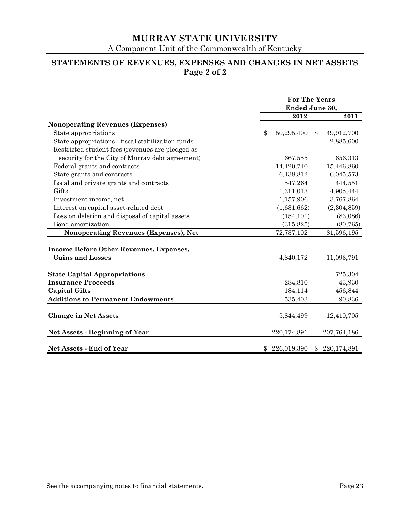A Component Unit of the Commonwealth of Kentucky

## **STATEMENTS OF REVENUES, EXPENSES AND CHANGES IN NET ASSETS Page 2 of 2**

|                                                   | <b>For The Years</b> |    |               |  |  |
|---------------------------------------------------|----------------------|----|---------------|--|--|
|                                                   | Ended June 30,       |    |               |  |  |
|                                                   | 2012                 |    | 2011          |  |  |
| <b>Nonoperating Revenues (Expenses)</b>           |                      |    |               |  |  |
| State appropriations                              | \$<br>50,295,400     | \$ | 49,912,700    |  |  |
| State appropriations - fiscal stabilization funds |                      |    | 2,885,600     |  |  |
| Restricted student fees (revenues are pledged as  |                      |    |               |  |  |
| security for the City of Murray debt agreement)   | 667,555              |    | 656,313       |  |  |
| Federal grants and contracts                      | 14,420,740           |    | 15,446,860    |  |  |
| State grants and contracts                        | 6,438,812            |    | 6,045,573     |  |  |
| Local and private grants and contracts            | 547,264              |    | 444,551       |  |  |
| Gifts                                             | 1,311,013            |    | 4,905,444     |  |  |
| Investment income, net                            | 1,157,906            |    | 3,767,864     |  |  |
| Interest on capital asset-related debt            | (1,631,662)          |    | (2,304,859)   |  |  |
| Loss on deletion and disposal of capital assets   | (154, 101)           |    | (83,086)      |  |  |
| Bond amortization                                 | (315, 825)           |    | (80, 765)     |  |  |
| Nonoperating Revenues (Expenses), Net             | 72,737,102           |    | 81,596,195    |  |  |
|                                                   |                      |    |               |  |  |
| <b>Income Before Other Revenues, Expenses,</b>    |                      |    |               |  |  |
| <b>Gains and Losses</b>                           | 4,840,172            |    | 11,093,791    |  |  |
|                                                   |                      |    |               |  |  |
| <b>State Capital Appropriations</b>               |                      |    | 725,304       |  |  |
| <b>Insurance Proceeds</b>                         | 284,810              |    | 43,930        |  |  |
| <b>Capital Gifts</b>                              | 184,114              |    | 456,844       |  |  |
| <b>Additions to Permanent Endowments</b>          | 535,403              |    | 90,836        |  |  |
|                                                   |                      |    |               |  |  |
| <b>Change in Net Assets</b>                       | 5,844,499            |    | 12,410,705    |  |  |
|                                                   |                      |    |               |  |  |
| <b>Net Assets - Beginning of Year</b>             | 220,174,891          |    | 207,764,186   |  |  |
|                                                   |                      |    |               |  |  |
| <b>Net Assets - End of Year</b>                   | 226,019,390          |    | \$220,174,891 |  |  |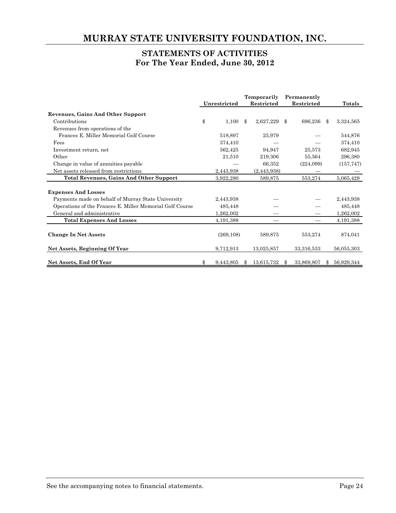## **MURRAY STATE UNIVERSITY FOUNDATION, INC.**

## **STATEMENTS OF ACTIVITIES For The Year Ended, June 30, 2012**

|                                                          |                 | Temporarily     |     | Permanently |                |            |
|----------------------------------------------------------|-----------------|-----------------|-----|-------------|----------------|------------|
|                                                          | Unrestricted    | Restricted      |     | Restricted  |                | Totals     |
| <b>Revenues, Gains And Other Support</b>                 |                 |                 |     |             |                |            |
| Contributions                                            | \$<br>1,100     | \$<br>2,627,229 | \$  | 696,236     | $\mathbf{\Re}$ | 3,324,565  |
| Revenues from operations of the                          |                 |                 |     |             |                |            |
| Frances E. Miller Memorial Golf Course                   | 518,897         | 25,979          |     |             |                | 544,876    |
| Fees                                                     | 374,410         |                 |     |             |                | 374,410    |
| Investment return, net                                   | 562,425         | 94.947          |     | 25,573      |                | 682,945    |
| Other                                                    | 21,510          | 219,306         |     | 55,564      |                | 296,380    |
| Change in value of annuities payable                     |                 | 66,352          |     | (224,099)   |                | (157, 747) |
| Net assets released from restrictions                    | 2,443,938       | (2,443,938)     |     |             |                |            |
| <b>Total Revenues, Gains And Other Support</b>           | 3,922,280       | 589,875         |     | 553,274     |                | 5,065,429  |
|                                                          |                 |                 |     |             |                |            |
| <b>Expenses And Losses</b>                               |                 |                 |     |             |                |            |
| Payments made on behalf of Murray State University       | 2,443,938       |                 |     |             |                | 2,443,938  |
| Operations of the Frances E. Miller Memorial Golf Course | 485,448         |                 |     |             |                | 485,448    |
| General and administrative                               | 1,262,002       |                 |     |             |                | 1,262,002  |
| <b>Total Expenses And Losses</b>                         | 4,191,388       |                 |     |             |                | 4,191,388  |
|                                                          |                 |                 |     |             |                |            |
| <b>Change In Net Assets</b>                              | (269, 108)      | 589,875         |     | 553,274     |                | 874,041    |
| Net Assets, Beginning Of Year                            | 9,712,913       | 13,025,857      |     | 33,316,533  |                | 56,055,303 |
| Net Assets, End Of Year                                  | \$<br>9,443,805 | \$              |     |             |                |            |
|                                                          |                 | 13,615,732      | \$. | 33,869,807  |                | 56,929,344 |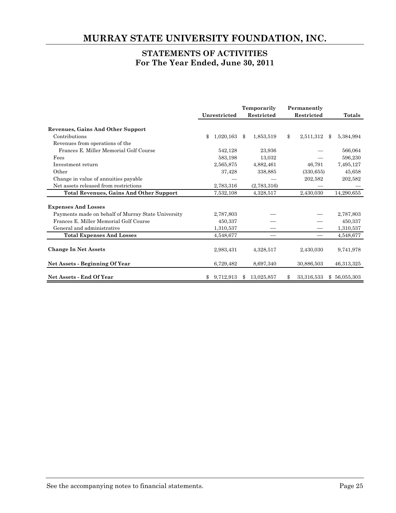## **MURRAY STATE UNIVERSITY FOUNDATION, INC.**

## **STATEMENTS OF ACTIVITIES For The Year Ended, June 30, 2011**

|                                                    |                 | Temporarily |             | Permanently |            |                 |
|----------------------------------------------------|-----------------|-------------|-------------|-------------|------------|-----------------|
|                                                    | Unrestricted    |             | Restricted  |             | Restricted | Totals          |
| <b>Revenues, Gains And Other Support</b>           |                 |             |             |             |            |                 |
| Contributions                                      | \$<br>1,020,163 | \$          | 1,853,519   | \$          | 2,511,312  | \$<br>5,384,994 |
| Revenues from operations of the                    |                 |             |             |             |            |                 |
| Frances E. Miller Memorial Golf Course             | 542,128         |             | 23,936      |             |            | 566,064         |
| Fees                                               | 583,198         |             | 13,032      |             |            | 596,230         |
| Investment return                                  | 2,565,875       |             | 4,882,461   |             | 46,791     | 7,495,127       |
| Other                                              | 37,428          |             | 338,885     |             | (330, 655) | 45,658          |
| Change in value of annuities payable               |                 |             |             |             | 202,582    | 202,582         |
| Net assets released from restrictions              | 2,783,316       |             | (2,783,316) |             |            |                 |
| <b>Total Revenues, Gains And Other Support</b>     | 7,532,108       |             | 4,328,517   |             | 2,430,030  | 14,290,655      |
|                                                    |                 |             |             |             |            |                 |
| <b>Expenses And Losses</b>                         |                 |             |             |             |            |                 |
| Payments made on behalf of Murray State University | 2,787,803       |             |             |             |            | 2,787,803       |
| Frances E. Miller Memorial Golf Course             | 450,337         |             |             |             |            | 450,337         |
| General and administrative                         | 1,310,537       |             |             |             |            | 1,310,537       |
| <b>Total Expenses And Losses</b>                   | 4,548,677       |             |             |             |            | 4,548,677       |
|                                                    |                 |             |             |             |            |                 |
| <b>Change In Net Assets</b>                        | 2,983,431       |             | 4,328,517   |             | 2,430,030  | 9,741,978       |
| Net Assets - Beginning Of Year                     | 6,729,482       |             | 8,697,340   |             | 30,886,503 | 46,313,325      |
| <b>Net Assets - End Of Year</b>                    | 9,712,913       | Ж,          | 13,025,857  |             | 33,316,533 | \$56,055,303    |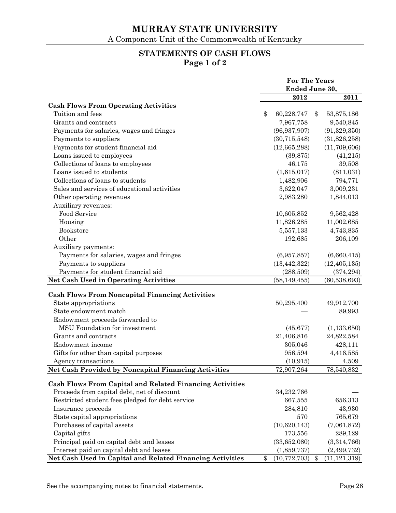## **STATEMENTS OF CASH FLOWS Page 1 of 2**

|                                                                 | <b>For The Years</b> |                |    |                |
|-----------------------------------------------------------------|----------------------|----------------|----|----------------|
|                                                                 | Ended June 30,       |                |    |                |
|                                                                 |                      | 2012           |    | 2011           |
| <b>Cash Flows From Operating Activities</b>                     |                      |                |    |                |
| Tuition and fees                                                | \$                   | 60,228,747     | \$ | 53,875,186     |
| Grants and contracts                                            |                      | 7,967,758      |    | 9,540,845      |
| Payments for salaries, wages and fringes                        |                      | (96, 937, 907) |    | (91, 329, 350) |
| Payments to suppliers                                           |                      | (30, 715, 548) |    | (31,826,258)   |
| Payments for student financial aid                              |                      | (12,665,288)   |    | (11,709,606)   |
| Loans issued to employees                                       |                      | (39, 875)      |    | (41,215)       |
| Collections of loans to employees                               |                      | 46,175         |    | 39,508         |
| Loans issued to students                                        |                      | (1,615,017)    |    | (811,031)      |
| Collections of loans to students                                |                      | 1,482,906      |    | 794,771        |
| Sales and services of educational activities                    |                      | 3,622,047      |    | 3,009,231      |
| Other operating revenues                                        |                      | 2,983,280      |    | 1,844,013      |
| Auxiliary revenues:                                             |                      |                |    |                |
| Food Service                                                    |                      | 10,605,852     |    | 9,562,428      |
| Housing                                                         |                      | 11,826,285     |    | 11,002,685     |
| Bookstore                                                       |                      | 5,557,133      |    | 4,743,835      |
| Other                                                           |                      | 192,685        |    | 206,109        |
| Auxiliary payments:                                             |                      |                |    |                |
| Payments for salaries, wages and fringes                        |                      | (6,957,857)    |    | (6,660,415)    |
| Payments to suppliers                                           |                      | (13, 442, 322) |    | (12, 405, 135) |
| Payments for student financial aid                              |                      | (288, 509)     |    | (374, 294)     |
| <b>Net Cash Used in Operating Activities</b>                    |                      | (58, 149, 455) |    | (60, 538, 693) |
|                                                                 |                      |                |    |                |
| <b>Cash Flows From Noncapital Financing Activities</b>          |                      |                |    |                |
| State appropriations                                            |                      | 50,295,400     |    | 49,912,700     |
| State endowment match                                           |                      |                |    | 89,993         |
| Endowment proceeds forwarded to                                 |                      |                |    |                |
| MSU Foundation for investment                                   |                      | (45, 677)      |    | (1, 133, 650)  |
| Grants and contracts                                            |                      | 21,406,816     |    | 24,822,584     |
| Endowment income                                                |                      | 305,046        |    | 428,111        |
| Gifts for other than capital purposes                           |                      | 956,594        |    | 4,416,585      |
| Agency transactions                                             |                      | (10, 915)      |    | 4,509          |
| <b>Net Cash Provided by Noncapital Financing Activities</b>     |                      | 72,907,264     |    | 78,540,832     |
|                                                                 |                      |                |    |                |
| <b>Cash Flows From Capital and Related Financing Activities</b> |                      |                |    |                |
| Proceeds from capital debt, net of discount                     |                      | 34,232,766     |    |                |
| Restricted student fees pledged for debt service                |                      | 667,555        |    | 656,313        |
| Insurance proceeds                                              |                      | 284,810        |    | 43,930         |
| State capital appropriations                                    |                      | 570            |    | 765,679        |
| Purchases of capital assets                                     |                      | (10,620,143)   |    | (7,061,872)    |
| Capital gifts                                                   |                      | 173,556        |    | 289,129        |
| Principal paid on capital debt and leases                       |                      | (33,652,080)   |    | (3,314,766)    |
| Interest paid on capital debt and leases                        |                      | (1,859,737)    |    | (2, 499, 732)  |
| Net Cash Used in Capital and Related Financing Activities       | \$                   | (10, 772, 703) | \$ | (11, 121, 319) |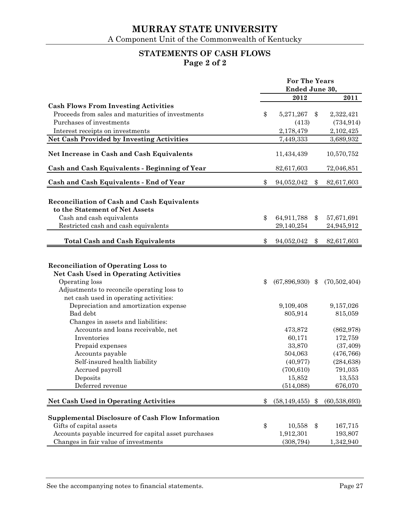## **STATEMENTS OF CASH FLOWS Page 2 of 2**

|                                                                               | <b>For The Years</b> |                   |    |                          |
|-------------------------------------------------------------------------------|----------------------|-------------------|----|--------------------------|
|                                                                               |                      | Ended June 30,    |    |                          |
|                                                                               |                      | 2012              |    | 2011                     |
| <b>Cash Flows From Investing Activities</b>                                   |                      |                   |    |                          |
| Proceeds from sales and maturities of investments                             | \$                   | 5,271,267         | \$ | 2,322,421                |
| Purchases of investments                                                      |                      | (413)             |    | (734, 914)               |
| Interest receipts on investments                                              |                      | 2,178,479         |    | 2,102,425                |
| <b>Net Cash Provided by Investing Activities</b>                              |                      | 7,449,333         |    | 3,689,932                |
| Net Increase in Cash and Cash Equivalents                                     |                      | 11,434,439        |    | 10,570,752               |
| Cash and Cash Equivalents - Beginning of Year                                 |                      | 82,617,603        |    | 72,046,851               |
|                                                                               |                      |                   |    |                          |
| Cash and Cash Equivalents - End of Year                                       | \$                   | 94,052,042        | \$ | 82,617,603               |
|                                                                               |                      |                   |    |                          |
| Reconciliation of Cash and Cash Equivalents<br>to the Statement of Net Assets |                      |                   |    |                          |
| Cash and cash equivalents                                                     | \$                   | 64,911,788        |    |                          |
| Restricted cash and cash equivalents                                          |                      | 29,140,254        | \$ | 57,671,691<br>24,945,912 |
|                                                                               |                      |                   |    |                          |
| <b>Total Cash and Cash Equivalents</b>                                        | \$                   | 94,052,042        | \$ | 82,617,603               |
|                                                                               |                      |                   |    |                          |
|                                                                               |                      |                   |    |                          |
| <b>Reconciliation of Operating Loss to</b>                                    |                      |                   |    |                          |
| <b>Net Cash Used in Operating Activities</b>                                  |                      |                   |    |                          |
| Operating loss                                                                | \$                   | $(67,896,930)$ \$ |    | (70,502,404)             |
| Adjustments to reconcile operating loss to                                    |                      |                   |    |                          |
| net cash used in operating activities:                                        |                      |                   |    |                          |
| Depreciation and amortization expense                                         |                      | 9,109,408         |    | 9,157,026                |
| Bad debt                                                                      |                      | 805,914           |    | 815,059                  |
| Changes in assets and liabilities:                                            |                      |                   |    |                          |
| Accounts and loans receivable, net                                            |                      | 473,872           |    | (862, 978)               |
| Inventories                                                                   |                      | 60,171            |    | 172,759                  |
| Prepaid expenses                                                              |                      | 33,870            |    | (37, 409)                |
| Accounts payable                                                              |                      | 504,063           |    | (476, 766)               |
| Self-insured health liability                                                 |                      | (40, 977)         |    | (284, 638)               |
| Accrued payroll                                                               |                      | (700, 610)        |    | 791,035                  |
| Deposits                                                                      |                      | 15,852            |    | 13,553                   |
| Deferred revenue                                                              |                      | (514,088)         |    | 676,070                  |
| <b>Net Cash Used in Operating Activities</b>                                  | \$                   | (58, 149, 455)    | \$ | (60, 538, 693)           |
|                                                                               |                      |                   |    |                          |
| <b>Supplemental Disclosure of Cash Flow Information</b>                       |                      |                   |    |                          |
| Gifts of capital assets                                                       | \$                   | 10,558            | \$ | 167,715                  |
| Accounts payable incurred for capital asset purchases                         |                      | 1,912,301         |    | 193,807                  |
| Changes in fair value of investments                                          |                      | (308, 794)        |    | 1,342,940                |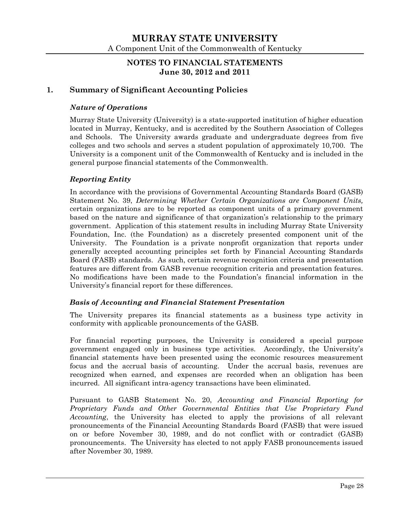## **NOTES TO FINANCIAL STATEMENTS June 30, 2012 and 2011**

## **1. Summary of Significant Accounting Policies**

#### *Nature of Operations*

Murray State University (University) is a state-supported institution of higher education located in Murray, Kentucky, and is accredited by the Southern Association of Colleges and Schools. The University awards graduate and undergraduate degrees from five colleges and two schools and serves a student population of approximately 10,700. The University is a component unit of the Commonwealth of Kentucky and is included in the general purpose financial statements of the Commonwealth.

#### *Reporting Entity*

In accordance with the provisions of Governmental Accounting Standards Board (GASB) Statement No. 39, *Determining Whether Certain Organizations are Component Units,* certain organizations are to be reported as component units of a primary government based on the nature and significance of that organization's relationship to the primary government. Application of this statement results in including Murray State University Foundation, Inc. (the Foundation) as a discretely presented component unit of the University. The Foundation is a private nonprofit organization that reports under generally accepted accounting principles set forth by Financial Accounting Standards Board (FASB) standards. As such, certain revenue recognition criteria and presentation features are different from GASB revenue recognition criteria and presentation features. No modifications have been made to the Foundation's financial information in the University's financial report for these differences.

#### *Basis of Accounting and Financial Statement Presentation*

The University prepares its financial statements as a business type activity in conformity with applicable pronouncements of the GASB.

For financial reporting purposes, the University is considered a special purpose government engaged only in business type activities. Accordingly, the University's financial statements have been presented using the economic resources measurement focus and the accrual basis of accounting. Under the accrual basis, revenues are recognized when earned, and expenses are recorded when an obligation has been incurred. All significant intra-agency transactions have been eliminated.

Pursuant to GASB Statement No. 20, *Accounting and Financial Reporting for Proprietary Funds and Other Governmental Entities that Use Proprietary Fund Accounting*, the University has elected to apply the provisions of all relevant pronouncements of the Financial Accounting Standards Board (FASB) that were issued on or before November 30, 1989, and do not conflict with or contradict (GASB) pronouncements. The University has elected to not apply FASB pronouncements issued after November 30, 1989.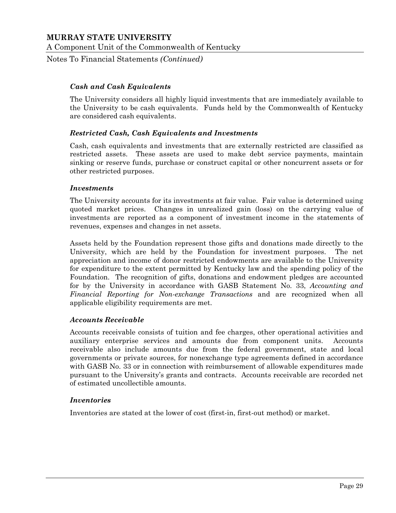Notes To Financial Statements *(Continued)*

#### *Cash and Cash Equivalents*

The University considers all highly liquid investments that are immediately available to the University to be cash equivalents. Funds held by the Commonwealth of Kentucky are considered cash equivalents.

#### *Restricted Cash, Cash Equivalents and Investments*

Cash, cash equivalents and investments that are externally restricted are classified as restricted assets. These assets are used to make debt service payments, maintain sinking or reserve funds, purchase or construct capital or other noncurrent assets or for other restricted purposes.

#### *Investments*

The University accounts for its investments at fair value. Fair value is determined using quoted market prices. Changes in unrealized gain (loss) on the carrying value of investments are reported as a component of investment income in the statements of revenues, expenses and changes in net assets.

Assets held by the Foundation represent those gifts and donations made directly to the University, which are held by the Foundation for investment purposes. The net appreciation and income of donor restricted endowments are available to the University for expenditure to the extent permitted by Kentucky law and the spending policy of the Foundation. The recognition of gifts, donations and endowment pledges are accounted for by the University in accordance with GASB Statement No. 33, *Accounting and Financial Reporting for Non-exchange Transactions* and are recognized when all applicable eligibility requirements are met.

#### *Accounts Receivable*

Accounts receivable consists of tuition and fee charges, other operational activities and auxiliary enterprise services and amounts due from component units. Accounts receivable also include amounts due from the federal government, state and local governments or private sources, for nonexchange type agreements defined in accordance with GASB No. 33 or in connection with reimbursement of allowable expenditures made pursuant to the University's grants and contracts. Accounts receivable are recorded net of estimated uncollectible amounts.

#### *Inventories*

Inventories are stated at the lower of cost (first-in, first-out method) or market.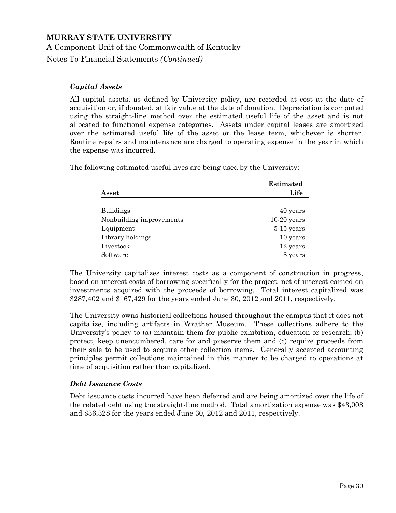Notes To Financial Statements *(Continued)*

#### *Capital Assets*

All capital assets, as defined by University policy, are recorded at cost at the date of acquisition or, if donated, at fair value at the date of donation. Depreciation is computed using the straight-line method over the estimated useful life of the asset and is not allocated to functional expense categories. Assets under capital leases are amortized over the estimated useful life of the asset or the lease term, whichever is shorter. Routine repairs and maintenance are charged to operating expense in the year in which the expense was incurred.

The following estimated useful lives are being used by the University:

|                          | <b>Estimated</b> |
|--------------------------|------------------|
| Asset                    | Life             |
| <b>Buildings</b>         | 40 years         |
| Nonbuilding improvements | $10-20$ years    |
| Equipment                | $5-15$ years     |
| Library holdings         | 10 years         |
| Livestock                | 12 years         |
| Software                 | 8 years          |

The University capitalizes interest costs as a component of construction in progress, based on interest costs of borrowing specifically for the project, net of interest earned on investments acquired with the proceeds of borrowing. Total interest capitalized was \$287,402 and \$167,429 for the years ended June 30, 2012 and 2011, respectively.

The University owns historical collections housed throughout the campus that it does not capitalize, including artifacts in Wrather Museum. These collections adhere to the University's policy to (a) maintain them for public exhibition, education or research; (b) protect, keep unencumbered, care for and preserve them and (c) require proceeds from their sale to be used to acquire other collection items. Generally accepted accounting principles permit collections maintained in this manner to be charged to operations at time of acquisition rather than capitalized.

## *Debt Issuance Costs*

Debt issuance costs incurred have been deferred and are being amortized over the life of the related debt using the straight-line method. Total amortization expense was \$43,003 and \$36,328 for the years ended June 30, 2012 and 2011, respectively.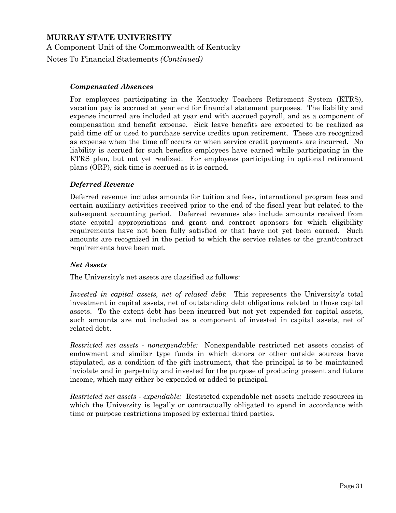Notes To Financial Statements *(Continued)*

#### *Compensated Absences*

For employees participating in the Kentucky Teachers Retirement System (KTRS), vacation pay is accrued at year end for financial statement purposes. The liability and expense incurred are included at year end with accrued payroll, and as a component of compensation and benefit expense. Sick leave benefits are expected to be realized as paid time off or used to purchase service credits upon retirement. These are recognized as expense when the time off occurs or when service credit payments are incurred. No liability is accrued for such benefits employees have earned while participating in the KTRS plan, but not yet realized. For employees participating in optional retirement plans (ORP), sick time is accrued as it is earned.

#### *Deferred Revenue*

Deferred revenue includes amounts for tuition and fees, international program fees and certain auxiliary activities received prior to the end of the fiscal year but related to the subsequent accounting period. Deferred revenues also include amounts received from state capital appropriations and grant and contract sponsors for which eligibility requirements have not been fully satisfied or that have not yet been earned. Such amounts are recognized in the period to which the service relates or the grant/contract requirements have been met.

#### *Net Assets*

The University's net assets are classified as follows:

*Invested in capital assets, net of related debt*: This represents the University's total investment in capital assets, net of outstanding debt obligations related to those capital assets. To the extent debt has been incurred but not yet expended for capital assets, such amounts are not included as a component of invested in capital assets, net of related debt.

*Restricted net assets - nonexpendable:* Nonexpendable restricted net assets consist of endowment and similar type funds in which donors or other outside sources have stipulated, as a condition of the gift instrument, that the principal is to be maintained inviolate and in perpetuity and invested for the purpose of producing present and future income, which may either be expended or added to principal.

*Restricted net assets - expendable:* Restricted expendable net assets include resources in which the University is legally or contractually obligated to spend in accordance with time or purpose restrictions imposed by external third parties.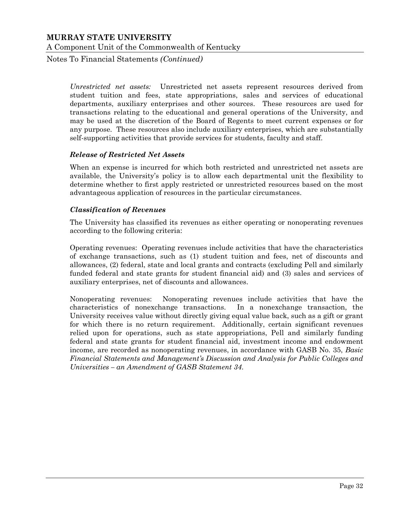Notes To Financial Statements *(Continued)*

*Unrestricted net assets:* Unrestricted net assets represent resources derived from student tuition and fees, state appropriations, sales and services of educational departments, auxiliary enterprises and other sources. These resources are used for transactions relating to the educational and general operations of the University, and may be used at the discretion of the Board of Regents to meet current expenses or for any purpose. These resources also include auxiliary enterprises, which are substantially self-supporting activities that provide services for students, faculty and staff.

#### *Release of Restricted Net Assets*

When an expense is incurred for which both restricted and unrestricted net assets are available, the University's policy is to allow each departmental unit the flexibility to determine whether to first apply restricted or unrestricted resources based on the most advantageous application of resources in the particular circumstances.

#### *Classification of Revenues*

The University has classified its revenues as either operating or nonoperating revenues according to the following criteria:

Operating revenues: Operating revenues include activities that have the characteristics of exchange transactions, such as (1) student tuition and fees, net of discounts and allowances, (2) federal, state and local grants and contracts (excluding Pell and similarly funded federal and state grants for student financial aid) and (3) sales and services of auxiliary enterprises, net of discounts and allowances.

Nonoperating revenues: Nonoperating revenues include activities that have the characteristics of nonexchange transactions. In a nonexchange transaction, the University receives value without directly giving equal value back, such as a gift or grant for which there is no return requirement. Additionally, certain significant revenues relied upon for operations, such as state appropriations, Pell and similarly funding federal and state grants for student financial aid, investment income and endowment income, are recorded as nonoperating revenues, in accordance with GASB No. 35, *Basic Financial Statements and Management's Discussion and Analysis for Public Colleges and Universities – an Amendment of GASB Statement 34*.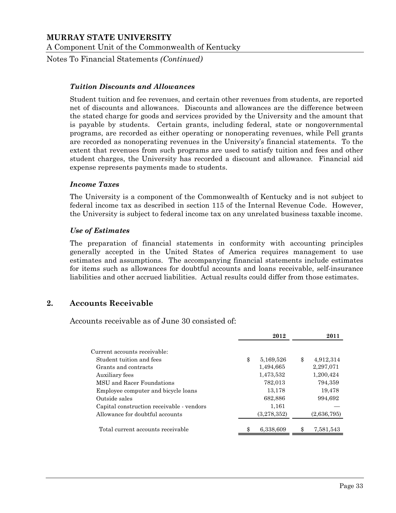Notes To Financial Statements *(Continued)*

#### *Tuition Discounts and Allowances*

Student tuition and fee revenues, and certain other revenues from students, are reported net of discounts and allowances. Discounts and allowances are the difference between the stated charge for goods and services provided by the University and the amount that is payable by students. Certain grants, including federal, state or nongovernmental programs, are recorded as either operating or nonoperating revenues, while Pell grants are recorded as nonoperating revenues in the University's financial statements. To the extent that revenues from such programs are used to satisfy tuition and fees and other student charges, the University has recorded a discount and allowance. Financial aid expense represents payments made to students.

#### *Income Taxes*

The University is a component of the Commonwealth of Kentucky and is not subject to federal income tax as described in section 115 of the Internal Revenue Code. However, the University is subject to federal income tax on any unrelated business taxable income.

#### *Use of Estimates*

The preparation of financial statements in conformity with accounting principles generally accepted in the United States of America requires management to use estimates and assumptions. The accompanying financial statements include estimates for items such as allowances for doubtful accounts and loans receivable, self-insurance liabilities and other accrued liabilities. Actual results could differ from those estimates.

#### **2. Accounts Receivable**

Accounts receivable as of June 30 consisted of:

|                                           | 2012            | 2011            |
|-------------------------------------------|-----------------|-----------------|
| Current accounts receivable:              |                 |                 |
| Student tuition and fees                  | \$<br>5,169,526 | \$<br>4,912,314 |
| Grants and contracts                      | 1,494,665       | 2,297,071       |
| Auxiliary fees                            | 1,473,532       | 1,200,424       |
| MSU and Racer Foundations                 | 782,013         | 794,359         |
| Employee computer and bicycle loans       | 13,178          | 19,478          |
| Outside sales                             | 682,886         | 994,692         |
| Capital construction receivable - vendors | 1,161           |                 |
| Allowance for doubtful accounts           | (3,278,352)     | (2,636,795)     |
| Total current accounts receivable         | 6,338,609       | \$<br>7,581,543 |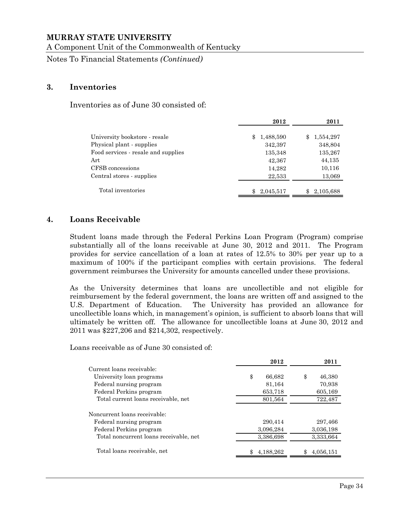A Component Unit of the Commonwealth of Kentucky

Notes To Financial Statements *(Continued)*

#### **3. Inventories**

Inventories as of June 30 consisted of:

|                                     | 2012            | 2011            |
|-------------------------------------|-----------------|-----------------|
| University bookstore - resale       | 1,488,590<br>\$ | \$<br>1,554,297 |
| Physical plant - supplies           | 342,397         | 348,804         |
| Food services - resale and supplies | 135,348         | 135,267         |
| Art                                 | 42,367          | 44,135          |
| CFSB concessions                    | 14,282          | 10,116          |
| Central stores - supplies           | 22,533          | 13,069          |
| Total inventories                   | 2,045,517       | 2,105,688       |

#### **4. Loans Receivable**

Student loans made through the Federal Perkins Loan Program (Program) comprise substantially all of the loans receivable at June 30, 2012 and 2011. The Program provides for service cancellation of a loan at rates of 12.5% to 30% per year up to a maximum of 100% if the participant complies with certain provisions. The federal government reimburses the University for amounts cancelled under these provisions.

As the University determines that loans are uncollectible and not eligible for reimbursement by the federal government, the loans are written off and assigned to the U.S. Department of Education. The University has provided an allowance for uncollectible loans which, in management's opinion, is sufficient to absorb loans that will ultimately be written off. The allowance for uncollectible loans at June 30, 2012 and 2011 was \$227,206 and \$214,302, respectively.

Loans receivable as of June 30 consisted of:

|                                        | 2012         | 2011         |
|----------------------------------------|--------------|--------------|
| Current loans receivable:              |              |              |
| University loan programs               | \$<br>66,682 | \$<br>46,380 |
| Federal nursing program                | 81,164       | 70,938       |
| Federal Perkins program                | 653,718      | 605,169      |
| Total current loans receivable, net    | 801,564      | 722,487      |
| Noncurrent loans receivable:           |              |              |
| Federal nursing program                | 290,414      | 297,466      |
| Federal Perkins program                | 3,096,284    | 3,036,198    |
| Total noncurrent loans receivable, net | 3,386,698    | 3,333,664    |
| Total loans receivable, net            | 4,188,262    | 4,056,151    |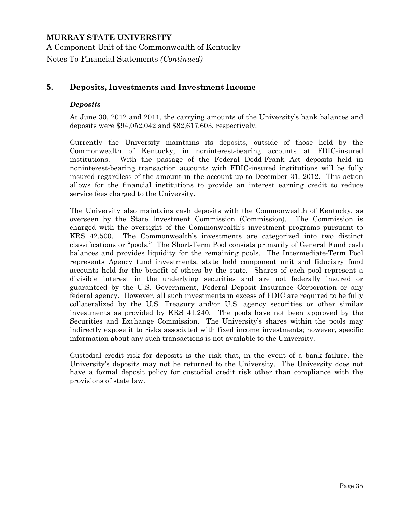Notes To Financial Statements *(Continued)*

## **5. Deposits, Investments and Investment Income**

#### *Deposits*

At June 30, 2012 and 2011, the carrying amounts of the University's bank balances and deposits were \$94,052,042 and \$82,617,603, respectively.

Currently the University maintains its deposits, outside of those held by the Commonwealth of Kentucky, in noninterest-bearing accounts at FDIC-insured institutions. With the passage of the Federal Dodd-Frank Act deposits held in noninterest-bearing transaction accounts with FDIC-insured institutions will be fully insured regardless of the amount in the account up to December 31, 2012. This action allows for the financial institutions to provide an interest earning credit to reduce service fees charged to the University.

The University also maintains cash deposits with the Commonwealth of Kentucky, as overseen by the State Investment Commission (Commission). The Commission is charged with the oversight of the Commonwealth's investment programs pursuant to KRS 42.500. The Commonwealth's investments are categorized into two distinct classifications or "pools." The Short-Term Pool consists primarily of General Fund cash balances and provides liquidity for the remaining pools. The Intermediate-Term Pool represents Agency fund investments, state held component unit and fiduciary fund accounts held for the benefit of others by the state. Shares of each pool represent a divisible interest in the underlying securities and are not federally insured or guaranteed by the U.S. Government, Federal Deposit Insurance Corporation or any federal agency. However, all such investments in excess of FDIC are required to be fully collateralized by the U.S. Treasury and/or U.S. agency securities or other similar investments as provided by KRS 41.240. The pools have not been approved by the Securities and Exchange Commission. The University's shares within the pools may indirectly expose it to risks associated with fixed income investments; however, specific information about any such transactions is not available to the University.

Custodial credit risk for deposits is the risk that, in the event of a bank failure, the University's deposits may not be returned to the University. The University does not have a formal deposit policy for custodial credit risk other than compliance with the provisions of state law.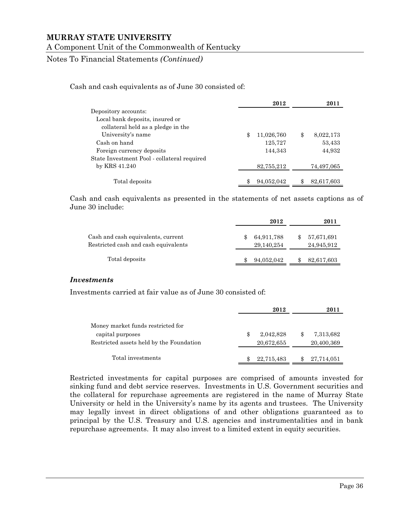### A Component Unit of the Commonwealth of Kentucky

Notes To Financial Statements *(Continued)*

Cash and cash equivalents as of June 30 consisted of:

|                                             | 2012             | 2011            |
|---------------------------------------------|------------------|-----------------|
| Depository accounts:                        |                  |                 |
| Local bank deposits, insured or             |                  |                 |
| collateral held as a pledge in the          |                  |                 |
| University's name                           | \$<br>11,026,760 | \$<br>8,022,173 |
| Cash on hand                                | 125,727          | 53,433          |
| Foreign currency deposits                   | 144,343          | 44,932          |
| State Investment Pool - collateral required |                  |                 |
| by KRS 41.240                               | 82,755,212       | 74,497,065      |
|                                             |                  |                 |
| Total deposits                              | 94,052,042       | 82,617,603      |

Cash and cash equivalents as presented in the statements of net assets captions as of June 30 include:

|                                                                            | 2012                     | 2011 |                          |  |
|----------------------------------------------------------------------------|--------------------------|------|--------------------------|--|
| Cash and cash equivalents, current<br>Restricted cash and cash equivalents | 64,911,788<br>29,140,254 |      | 57,671,691<br>24,945,912 |  |
| Total deposits                                                             | 94,052,042               |      | 82,617,603               |  |

#### *Investments*

Investments carried at fair value as of June 30 consisted of:

|                                                                                                   | 2012 |                         |  | 2011                    |  |  |
|---------------------------------------------------------------------------------------------------|------|-------------------------|--|-------------------------|--|--|
| Money market funds restricted for<br>capital purposes<br>Restricted assets held by the Foundation |      | 2,042,828<br>20,672,655 |  | 7,313,682<br>20,400,369 |  |  |
| Total investments                                                                                 |      | 22,715,483              |  | 27,714,051              |  |  |

Restricted investments for capital purposes are comprised of amounts invested for sinking fund and debt service reserves. Investments in U.S. Government securities and the collateral for repurchase agreements are registered in the name of Murray State University or held in the University's name by its agents and trustees. The University may legally invest in direct obligations of and other obligations guaranteed as to principal by the U.S. Treasury and U.S. agencies and instrumentalities and in bank repurchase agreements. It may also invest to a limited extent in equity securities.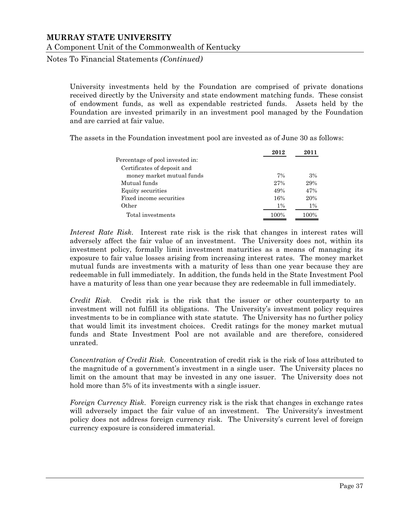Notes To Financial Statements *(Continued)*

University investments held by the Foundation are comprised of private donations received directly by the University and state endowment matching funds. These consist of endowment funds, as well as expendable restricted funds. Assets held by the Foundation are invested primarily in an investment pool managed by the Foundation and are carried at fair value.

The assets in the Foundation investment pool are invested as of June 30 as follows:

|                                 | 2012  | 2011  |
|---------------------------------|-------|-------|
| Percentage of pool invested in: |       |       |
| Certificates of deposit and     |       |       |
| money market mutual funds       | 7%    | 3%    |
| Mutual funds                    | 27%   | 29%   |
| Equity securities               | 49%   | 47%   |
| Fixed income securities         | 16%   | 20%   |
| Other                           | $1\%$ | $1\%$ |
| Total investments               | 100%  | 100%  |

*Interest Rate Risk*. Interest rate risk is the risk that changes in interest rates will adversely affect the fair value of an investment. The University does not, within its investment policy, formally limit investment maturities as a means of managing its exposure to fair value losses arising from increasing interest rates. The money market mutual funds are investments with a maturity of less than one year because they are redeemable in full immediately. In addition, the funds held in the State Investment Pool have a maturity of less than one year because they are redeemable in full immediately.

*Credit Risk*. Credit risk is the risk that the issuer or other counterparty to an investment will not fulfill its obligations. The University's investment policy requires investments to be in compliance with state statute. The University has no further policy that would limit its investment choices. Credit ratings for the money market mutual funds and State Investment Pool are not available and are therefore, considered unrated.

*Concentration of Credit Risk*. Concentration of credit risk is the risk of loss attributed to the magnitude of a government's investment in a single user. The University places no limit on the amount that may be invested in any one issuer. The University does not hold more than 5% of its investments with a single issuer.

*Foreign Currency Risk*. Foreign currency risk is the risk that changes in exchange rates will adversely impact the fair value of an investment. The University's investment policy does not address foreign currency risk. The University's current level of foreign currency exposure is considered immaterial.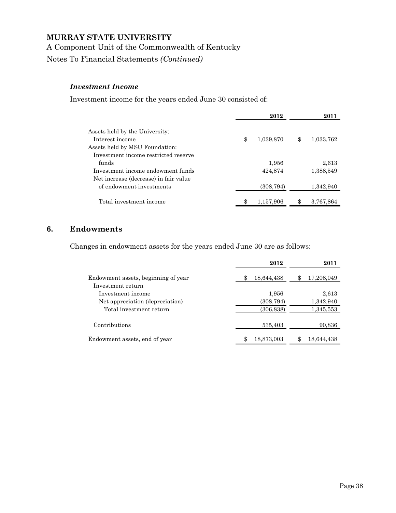A Component Unit of the Commonwealth of Kentucky

Notes To Financial Statements *(Continued)*

#### *Investment Income*

Investment income for the years ended June 30 consisted of:

|                                                   | 2012            | 2011 |           |  |
|---------------------------------------------------|-----------------|------|-----------|--|
| Assets held by the University:<br>Interest income | \$<br>1,039,870 | \$   | 1,033,762 |  |
| Assets held by MSU Foundation:                    |                 |      |           |  |
| Investment income restricted reserve              |                 |      |           |  |
| funds                                             | 1,956           |      | 2,613     |  |
| Investment income endowment funds                 | 424,874         |      | 1,388,549 |  |
| Net increase (decrease) in fair value             |                 |      |           |  |
| of endowment investments                          | (308, 794)      |      | 1,342,940 |  |
| Total investment income                           | 1,157,906       |      | 3,767,864 |  |

## **6. Endowments**

Changes in endowment assets for the years ended June 30 are as follows:

|                                     | 2012       | 2011       |
|-------------------------------------|------------|------------|
| Endowment assets, beginning of year | 18,644,438 | 17,208,049 |
| Investment return                   |            |            |
| Investment income                   | 1,956      | 2,613      |
| Net appreciation (depreciation)     | (308, 794) | 1,342,940  |
| Total investment return             | (306, 838) | 1,345,553  |
| Contributions                       | 535,403    | 90,836     |
| Endowment assets, end of year       | 18,873,003 | 18,644,438 |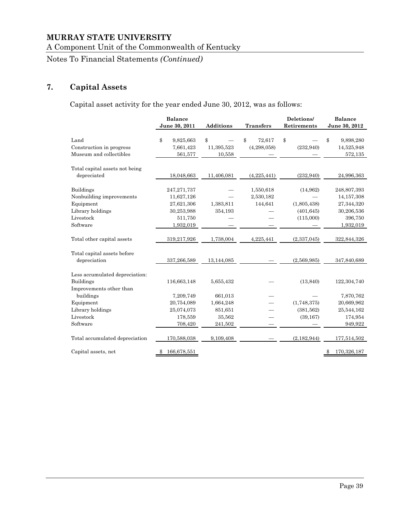A Component Unit of the Commonwealth of Kentucky

Notes To Financial Statements *(Continued)*

## **7. Capital Assets**

Capital asset activity for the year ended June 30, 2012, was as follows:

|                                                     | <b>Balance</b><br>June 30, 2011 | <b>Additions</b> | <b>Transfers</b> | Deletions/<br>Retirements | <b>Balance</b><br>June 30, 2012 |
|-----------------------------------------------------|---------------------------------|------------------|------------------|---------------------------|---------------------------------|
|                                                     |                                 |                  |                  |                           |                                 |
| Land                                                | \$<br>9,825,663                 | \$               | \$<br>72,617     | \$                        | 9,898,280<br>\$                 |
| Construction in progress<br>Museum and collectibles | 7,661,423                       | 11,395,523       | (4, 298, 058)    | (232, 940)                | 14,525,948                      |
|                                                     | 561,577                         | 10,558           |                  |                           | 572,135                         |
| Total capital assets not being                      |                                 |                  |                  |                           |                                 |
| depreciated                                         | 18,048,663                      | 11,406,081       | (4,225,441)      | (232, 940)                | 24,996,363                      |
|                                                     |                                 |                  |                  |                           |                                 |
| <b>Buildings</b>                                    | 247, 271, 737                   |                  | 1,550,618        | (14,962)                  | 248,807,393                     |
| Nonbuilding improvements                            | 11,627,126                      |                  | 2,530,182        |                           | 14, 157, 308                    |
| Equipment                                           | 27,621,306                      | 1,383,811        | 144,641          | (1,805,438)               | 27,344,320                      |
| Library holdings                                    | 30,253,988                      | 354,193          |                  | (401, 645)                | 30,206,536                      |
| Livestock                                           | 511,750                         |                  |                  | (115,000)                 | 396,750                         |
| Software                                            | 1,932,019                       |                  |                  |                           | 1,932,019                       |
|                                                     |                                 |                  |                  |                           |                                 |
| Total other capital assets                          | 319,217,926                     | 1,738,004        | 4,225,441        | (2,337,045)               | 322,844,326                     |
| Total capital assets before                         |                                 |                  |                  |                           |                                 |
| depreciation                                        | 337,266,589                     | 13,144,085       |                  | (2,569,985)               | 347,840,689                     |
|                                                     |                                 |                  |                  |                           |                                 |
| Less accumulated depreciation:                      |                                 |                  |                  |                           |                                 |
| <b>Buildings</b>                                    | 116,663,148                     | 5,655,432        |                  | (13, 840)                 | 122,304,740                     |
| Improvements other than                             |                                 |                  |                  |                           |                                 |
| buildings                                           | 7,209,749                       | 661,013          |                  |                           | 7,870,762                       |
| Equipment                                           | 20,754,089                      | 1,664,248        |                  | (1,748,375)               | 20,669,962                      |
| Library holdings                                    | 25,074,073                      | 851,651          |                  | (381, 562)                | 25,544,162                      |
| Livestock                                           | 178,559                         | 35,562           |                  | (39, 167)                 | 174,954                         |
| Software                                            | 708,420                         | 241,502          |                  |                           | 949,922                         |
| Total accumulated depreciation                      | 170,588,038                     | 9,109,408        |                  | (2, 182, 944)             | 177,514,502                     |
| Capital assets, net                                 | 166,678,551<br>\$               |                  |                  |                           | 170,326,187<br>\$               |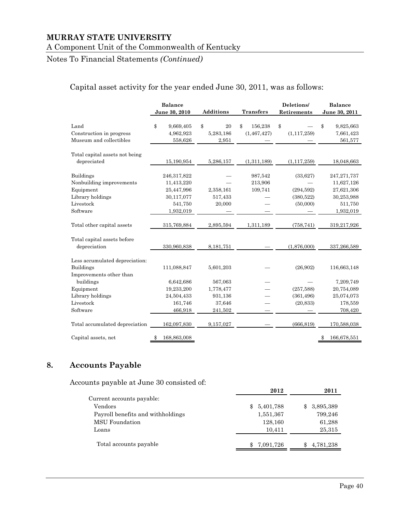#### A Component Unit of the Commonwealth of Kentucky

## Notes To Financial Statements *(Continued)*

## Capital asset activity for the year ended June 30, 2011, was as follows:

|                                                                                                        | <b>Balance</b><br>June 30, 2010                                               | <b>Additions</b>                | <b>Transfers</b>               | Deletions/<br>Retirements                       | <b>Balance</b><br>June 30, 2011                                                 |
|--------------------------------------------------------------------------------------------------------|-------------------------------------------------------------------------------|---------------------------------|--------------------------------|-------------------------------------------------|---------------------------------------------------------------------------------|
| Land<br>Construction in progress<br>Museum and collectibles                                            | \$<br>9,669,405<br>4,962,923<br>558,626                                       | \$<br>20<br>5,283,186<br>2,951  | \$<br>156,238<br>(1, 467, 427) | \$<br>(1, 117, 259)                             | \$<br>9,825,663<br>7,661,423<br>561,577                                         |
| Total capital assets not being<br>depreciated                                                          | 15,190,954                                                                    | 5,286,157                       | (1,311,189)                    | (1, 117, 259)                                   | 18,048,663                                                                      |
| <b>Buildings</b><br>Nonbuilding improvements<br>Equipment<br>Library holdings<br>Livestock<br>Software | 246,317,822<br>11,413,220<br>25,447,996<br>30,117,077<br>541,750<br>1,932,019 | 2,358,161<br>517,433<br>20,000  | 987,542<br>213,906<br>109,741  | (33,627)<br>(294, 592)<br>(380,522)<br>(50,000) | 247, 271, 737<br>11,627,126<br>27,621,306<br>30,253,988<br>511,750<br>1,932,019 |
| Total other capital assets                                                                             | 315,769,884                                                                   | 2,895,594                       | 1,311,189                      | (758, 741)                                      | 319,217,926                                                                     |
| Total capital assets before<br>depreciation                                                            | 330,960,838                                                                   | 8,181,751                       |                                | (1,876,000)                                     | 337,266,589                                                                     |
| Less accumulated depreciation:<br><b>Buildings</b>                                                     | 111,088,847                                                                   | 5,601,203                       |                                | (26,902)                                        | 116,663,148                                                                     |
| Improvements other than<br>buildings<br>Equipment<br>Library holdings                                  | 6,642,686<br>19,233,200<br>24,504,433                                         | 567,063<br>1,778,477<br>931,136 |                                | (257, 588)<br>(361, 496)                        | 7,209,749<br>20,754,089<br>25,074,073                                           |
| Livestock<br>Software                                                                                  | 161,746<br>466,918                                                            | 37,646<br>241,502               |                                | (20, 833)                                       | 178,559<br>708,420                                                              |
| Total accumulated depreciation                                                                         | 162,097,830                                                                   | 9,157,027                       |                                | (666, 819)                                      | 170,588,038                                                                     |
| Capital assets, net                                                                                    | 168,863,008<br>\$                                                             |                                 |                                |                                                 | 166,678,551<br>\$                                                               |

## **8. Accounts Payable**

Accounts payable at June 30 consisted of:

|                                   | 2012                      | 2011             |
|-----------------------------------|---------------------------|------------------|
| Current accounts payable:         |                           |                  |
| Vendors                           | 5,401,788<br>$\mathbf{F}$ | 3,895,389<br>SS. |
| Payroll benefits and withholdings | 1,551,367                 | 799,246          |
| <b>MSU</b> Foundation             | 128,160                   | 61,288           |
| Loans                             | 10.411                    | 25,315           |
| Total accounts payable            | 7,091,726                 | 4,781,238        |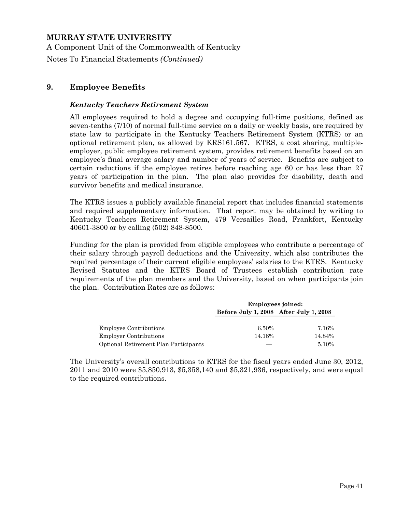A Component Unit of the Commonwealth of Kentucky

Notes To Financial Statements *(Continued)*

## **9. Employee Benefits**

#### *Kentucky Teachers Retirement System*

All employees required to hold a degree and occupying full-time positions, defined as seven-tenths (7/10) of normal full-time service on a daily or weekly basis, are required by state law to participate in the Kentucky Teachers Retirement System (KTRS) or an optional retirement plan, as allowed by KRS161.567. KTRS, a cost sharing, multipleemployer, public employee retirement system, provides retirement benefits based on an employee's final average salary and number of years of service. Benefits are subject to certain reductions if the employee retires before reaching age 60 or has less than 27 years of participation in the plan. The plan also provides for disability, death and survivor benefits and medical insurance.

The KTRS issues a publicly available financial report that includes financial statements and required supplementary information. That report may be obtained by writing to Kentucky Teachers Retirement System, 479 Versailles Road, Frankfort, Kentucky 40601-3800 or by calling (502) 848-8500.

Funding for the plan is provided from eligible employees who contribute a percentage of their salary through payroll deductions and the University, which also contributes the required percentage of their current eligible employees' salaries to the KTRS. Kentucky Revised Statutes and the KTRS Board of Trustees establish contribution rate requirements of the plan members and the University, based on when participants join the plan. Contribution Rates are as follows:

|                                       | <b>Employees joined:</b>               |        |  |  |
|---------------------------------------|----------------------------------------|--------|--|--|
|                                       | Before July 1, 2008 After July 1, 2008 |        |  |  |
| <b>Employee Contributions</b>         | 6.50%                                  | 7.16%  |  |  |
| <b>Employer Contributions</b>         | 14.18%                                 | 14.84% |  |  |
| Optional Retirement Plan Participants |                                        | 5.10%  |  |  |

The University's overall contributions to KTRS for the fiscal years ended June 30, 2012, 2011 and 2010 were \$5,850,913, \$5,358,140 and \$5,321,936, respectively, and were equal to the required contributions.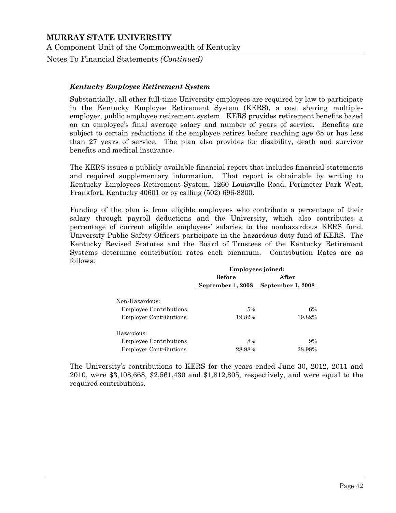Notes To Financial Statements *(Continued)*

#### *Kentucky Employee Retirement System*

Substantially, all other full-time University employees are required by law to participate in the Kentucky Employee Retirement System (KERS), a cost sharing multipleemployer, public employee retirement system. KERS provides retirement benefits based on an employee's final average salary and number of years of service. Benefits are subject to certain reductions if the employee retires before reaching age 65 or has less than 27 years of service. The plan also provides for disability, death and survivor benefits and medical insurance.

The KERS issues a publicly available financial report that includes financial statements and required supplementary information. That report is obtainable by writing to Kentucky Employees Retirement System, 1260 Louisville Road, Perimeter Park West, Frankfort, Kentucky 40601 or by calling (502) 696-8800.

Funding of the plan is from eligible employees who contribute a percentage of their salary through payroll deductions and the University, which also contributes a percentage of current eligible employees' salaries to the nonhazardous KERS fund. University Public Safety Officers participate in the hazardous duty fund of KERS. The Kentucky Revised Statutes and the Board of Trustees of the Kentucky Retirement Systems determine contribution rates each biennium. Contribution Rates are as follows:

|                               | Employees joined: |                   |  |  |  |
|-------------------------------|-------------------|-------------------|--|--|--|
|                               | <b>Before</b>     | After             |  |  |  |
|                               | September 1, 2008 | September 1, 2008 |  |  |  |
|                               |                   |                   |  |  |  |
| Non-Hazardous:                |                   |                   |  |  |  |
| <b>Employee Contributions</b> | 5%                | 6%                |  |  |  |
| <b>Employer Contributions</b> | 19.82%            | 19.82%            |  |  |  |
| Hazardous:                    |                   |                   |  |  |  |
| <b>Employee Contributions</b> | 8%                | 9%                |  |  |  |
| <b>Employer Contributions</b> | 28.98%            | 28.98%            |  |  |  |

The University's contributions to KERS for the years ended June 30, 2012, 2011 and 2010, were \$3,108,668, \$2,561,430 and \$1,812,805, respectively, and were equal to the required contributions.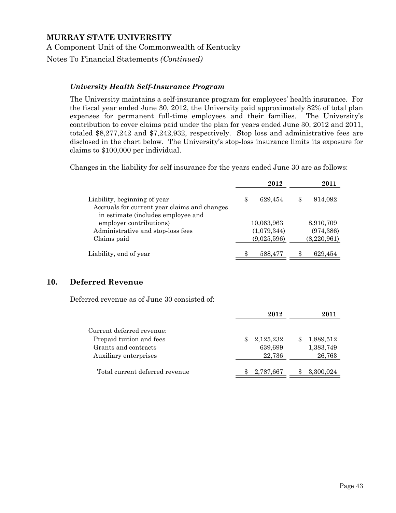Notes To Financial Statements *(Continued)*

## *University Health Self-Insurance Program*

The University maintains a self-insurance program for employees' health insurance. For the fiscal year ended June 30, 2012, the University paid approximately 82% of total plan expenses for permanent full-time employees and their families. The University's contribution to cover claims paid under the plan for years ended June 30, 2012 and 2011, totaled \$8,277,242 and \$7,242,932, respectively. Stop loss and administrative fees are disclosed in the chart below. The University's stop-loss insurance limits its exposure for claims to \$100,000 per individual.

Changes in the liability for self insurance for the years ended June 30 are as follows:

|                                                                                                                    | 2012          | 2011        |
|--------------------------------------------------------------------------------------------------------------------|---------------|-------------|
| Liability, beginning of year<br>Accruals for current year claims and changes<br>in estimate (includes employee and | \$<br>629,454 | 914,092     |
| employer contributions)                                                                                            | 10,063,963    | 8,910,709   |
| Administrative and stop-loss fees                                                                                  | (1,079,344)   | (974, 386)  |
| Claims paid                                                                                                        | (9,025,596)   | (8,220,961) |
| Liability, end of year                                                                                             | 588,477       | 629,454     |

## **10. Deferred Revenue**

Deferred revenue as of June 30 consisted of:

|                                                                                                        | 2012                           |                                        |
|--------------------------------------------------------------------------------------------------------|--------------------------------|----------------------------------------|
| Current deferred revenue:<br>Prepaid tuition and fees<br>Grants and contracts<br>Auxiliary enterprises | 2,125,232<br>639,699<br>22,736 | \$<br>1,889,512<br>1,383,749<br>26,763 |
| Total current deferred revenue                                                                         | 2,787,667                      | 3,300,024                              |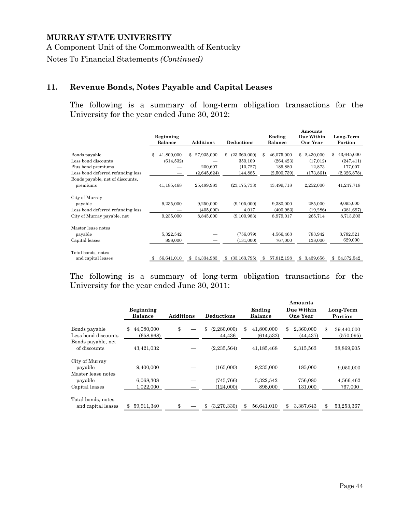A Component Unit of the Commonwealth of Kentucky

Notes To Financial Statements *(Continued)*

## **11. Revenue Bonds, Notes Payable and Capital Leases**

The following is a summary of long-term obligation transactions for the University for the year ended June 30, 2012:

|                                   | <b>Beginning</b><br>Balance | <b>Additions</b> | Deductions         | Ending<br><b>Balance</b> | Amounts<br>Due Within<br><b>One Year</b> | Long-Term<br>Portion |
|-----------------------------------|-----------------------------|------------------|--------------------|--------------------------|------------------------------------------|----------------------|
|                                   |                             |                  |                    |                          |                                          |                      |
| Bonds payable                     | 41,800,000<br>\$            | \$27,935,000     | (23,660,000)<br>\$ | 46,075,000<br>\$         | 2,430,000<br>\$                          | 43,645,000<br>\$     |
| Less bond discounts               | (614, 532)                  |                  | 350,109            | (264, 423)               | (17, 012)                                | (247, 411)           |
| Plus bond premiums                |                             | 200,607          | (10, 727)          | 189,880                  | 12,873                                   | 177,007              |
| Less bond deferred refunding loss |                             | (2,645,624)      | 144,885            | (2,500,739)              | (173, 861)                               | (2,326,878)          |
| Bonds payable, net of discounts,  |                             |                  |                    |                          |                                          |                      |
| premiums                          | 41,185,468                  | 25,489,983       | (23, 175, 733)     | 43,499,718               | 2,252,000                                | 41,247,718           |
| City of Murray                    |                             |                  |                    |                          |                                          |                      |
| payable                           | 9,235,000                   | 9,250,000        | (9,105,000)        | 9,380,000                | 285,000                                  | 9,095,000            |
| Less bond deferred refunding loss |                             | (405,000)        | 4,017              | (400, 983)               | (19, 286)                                | (381, 697)           |
| City of Murray payable, net       | 9,235,000                   | 8,845,000        | (9,100,983)        | 8,979,017                | 265,714                                  | 8,713,303            |
| Master lease notes                |                             |                  |                    |                          |                                          |                      |
| payable                           | 5,322,542                   |                  | (756, 079)         | 4,566,463                | 783,942                                  | 3,782,521            |
| Capital leases                    | 898,000                     |                  | (131,000)          | 767,000                  | 138,000                                  | 629,000              |
| Total bonds, notes                |                             |                  |                    |                          |                                          |                      |
| and capital leases                | 56,641,010                  | 34,334,983<br>\$ | (33, 163, 795)     | 57,812,198<br>\$         | \$ 3,439,656                             | 54,372,542           |

The following is a summary of long-term obligation transactions for the University for the year ended June 30, 2011:

|                                                 | <b>Beginning</b><br><b>Balance</b> | <b>Additions</b> | <b>Deductions</b>           | Ending<br><b>Balance</b>       | Amounts<br>Due Within<br><b>One Year</b> | Long-Term<br>Portion          |
|-------------------------------------------------|------------------------------------|------------------|-----------------------------|--------------------------------|------------------------------------------|-------------------------------|
| Bonds payable<br>Less bond discounts            | 44,080,000<br>\$<br>(658, 968)     | \$               | \$<br>(2,280,000)<br>44.436 | \$<br>41,800,000<br>(614, 532) | \$<br>2,360,000<br>(44,437)              | \$<br>39,440,000<br>(570,095) |
| Bonds payable, net<br>of discounts              | 43,421,032                         |                  | (2, 235, 564)               | 41,185,468                     | 2,315,563                                | 38,869,905                    |
| City of Murray<br>payable<br>Master lease notes | 9,400,000                          |                  | (165,000)                   | 9,235,000                      | 185,000                                  | 9,050,000                     |
| payable<br>Capital leases                       | 6,068,308<br>1,022,000             |                  | (745, 766)<br>(124,000)     | 5,322,542<br>898,000           | 756,080<br>131.000                       | 4,566,462<br>767,000          |
| Total bonds, notes<br>and capital leases        | 59,911,340                         |                  | (3,270,330)<br>\$           | 56,641,010                     | \$<br>3,387,643                          | 53,253,367                    |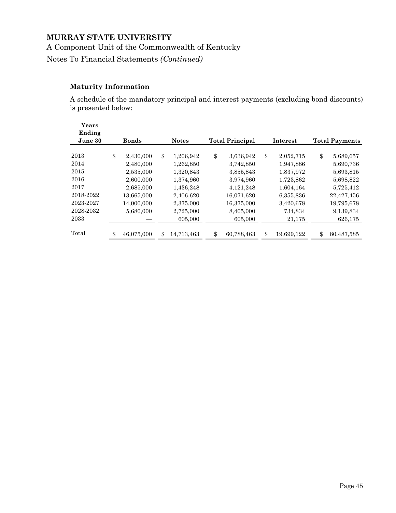A Component Unit of the Commonwealth of Kentucky

Notes To Financial Statements *(Continued)*

## **Maturity Information**

A schedule of the mandatory principal and interest payments (excluding bond discounts) is presented below:

| Years<br>Ending<br>June 30 | <b>Bonds</b>     | <b>Notes</b>    | <b>Total Principal</b> | Interest         | <b>Total Payments</b> |
|----------------------------|------------------|-----------------|------------------------|------------------|-----------------------|
|                            |                  |                 |                        |                  |                       |
| 2013                       | \$<br>2,430,000  | \$<br>1,206,942 | \$<br>3,636,942        | \$<br>2,052,715  | \$<br>5,689,657       |
| 2014                       | 2,480,000        | 1,262,850       | 3,742,850              | 1,947,886        | 5,690,736             |
| 2015                       | 2,535,000        | 1,320,843       | 3,855,843              | 1,837,972        | 5,693,815             |
| 2016                       | 2,600,000        | 1,374,960       | 3,974,960              | 1,723,862        | 5,698,822             |
| 2017                       | 2,685,000        | 1,436,248       | 4,121,248              | 1,604,164        | 5,725,412             |
| 2018-2022                  | 13,665,000       | 2,406,620       | 16,071,620             | 6,355,836        | 22,427,456            |
| 2023-2027                  | 14,000,000       | 2,375,000       | 16,375,000             | 3,420,678        | 19,795,678            |
| 2028-2032                  | 5,680,000        | 2,725,000       | 8,405,000              | 734,834          | 9,139,834             |
| 2033                       |                  | 605,000         | 605,000                | 21,175           | 626,175               |
| Total                      | \$<br>46,075,000 | 14,713,463      | \$<br>60,788,463       | \$<br>19,699,122 | \$<br>80,487,585      |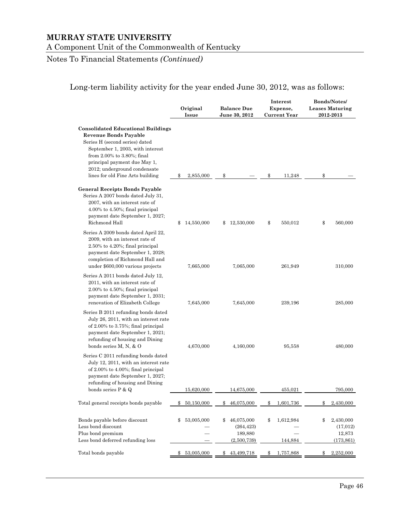Notes To Financial Statements *(Continued)*

## Long-term liability activity for the year ended June 30, 2012, was as follows:

|                                                                                                                                                                                                                                                                                   | Original<br>Issue | <b>Balance Due</b><br>June 30, 2012                      | Interest<br>Expense,<br><b>Current Year</b> | Bonds/Notes/<br><b>Leases Maturing</b><br>2012-2013  |
|-----------------------------------------------------------------------------------------------------------------------------------------------------------------------------------------------------------------------------------------------------------------------------------|-------------------|----------------------------------------------------------|---------------------------------------------|------------------------------------------------------|
| <b>Consolidated Educational Buildings</b><br><b>Revenue Bonds Payable</b><br>Series H (second series) dated<br>September 1, 2003, with interest<br>from 2.00% to 3.80%; final<br>principal payment due May 1,<br>2012; underground condensate<br>lines for old Fine Arts building | 2,855,000<br>\$   | \$                                                       | \$<br>11,248                                | \$                                                   |
| <b>General Receipts Bonds Payable</b><br>Series A 2007 bonds dated July 31,<br>2007, with an interest rate of<br>$4.00\%$ to $4.50\%$ ; final principal<br>payment date September 1, 2027;<br>Richmond Hall                                                                       | 14,550,000<br>\$  | 12,530,000<br>\$                                         | \$<br>550,012                               | \$<br>560,000                                        |
| Series A 2009 bonds dated April 22,<br>2009, with an interest rate of<br>$2.50\%$ to $4.20\%$ ; final principal<br>payment date September 1, 2028;<br>completion of Richmond Hall and<br>under \$600,000 various projects                                                         | 7,665,000         | 7,065,000                                                | 261,949                                     | 310,000                                              |
| Series A 2011 bonds dated July 12,<br>2011, with an interest rate of<br>$2.00\%$ to $4.50\%$ ; final principal<br>payment date September 1, 2031;<br>renovation of Elizabeth College                                                                                              | 7,645,000         | 7,645,000                                                | 239,196                                     | 285,000                                              |
| Series B 2011 refunding bonds dated<br>July 26, 2011, with an interest rate<br>of 2.00% to 3.75%; final principal<br>payment date September 1, 2021;<br>refunding of housing and Dining<br>bonds series M, N, & O                                                                 | 4,670,000         | 4,160,000                                                | 95,558                                      | 480,000                                              |
| Series C 2011 refunding bonds dated<br>July 12, 2011, with an interest rate<br>of 2.00% to 4.00%; final principal<br>payment date September 1, 2027;<br>refunding of housing and Dining<br>bonds series P & Q                                                                     | 15,620,000        | 14,675,000                                               | 455,021                                     | 795,000                                              |
| Total general receipts bonds payable                                                                                                                                                                                                                                              | \$<br>50,150,000  | \$<br>46,075,000                                         | \$<br>1,601,736                             | \$<br>2,430,000                                      |
| Bonds payable before discount<br>Less bond discount<br>Plus bond premium<br>Less bond deferred refunding loss                                                                                                                                                                     | \$<br>53,005,000  | 46,075,000<br>\$<br>(264, 423)<br>189,880<br>(2,500,739) | \$<br>1,612,984<br>144,884                  | \$<br>2,430,000<br>(17, 012)<br>12,873<br>(173, 861) |
| Total bonds payable                                                                                                                                                                                                                                                               | \$<br>53,005,000  | \$<br>43,499,718                                         | \$<br>1,757,868                             | 2,252,000<br>\$                                      |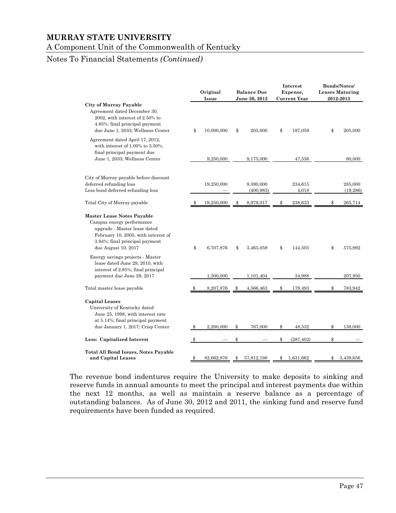A Component Unit of the Commonwealth of Kentucky

## Notes To Financial Statements *(Continued)*

|                                                                                                                                                                                                |     | Original<br>Issue | <b>Balance Due</b><br>June 30, 2012 | Interest<br>Expense,<br><b>Current Year</b> | <b>Bonds/Notes/</b><br><b>Leases Maturing</b><br>2012-2013 |
|------------------------------------------------------------------------------------------------------------------------------------------------------------------------------------------------|-----|-------------------|-------------------------------------|---------------------------------------------|------------------------------------------------------------|
| <b>City of Murray Payable</b><br>Agreement dated December 30,<br>2002, with interest of 2.50% to<br>4.85%; final principal payment<br>due June 1, 2033; Wellness Center                        | \$  | 10,000,000        | \$<br>205,000                       | \$<br>187,059                               | \$<br>205,000                                              |
| Agreement dated April 17, 2012,<br>with interest of $1.00\%$ to $3.50\%$ ;<br>final principal payment due<br>June 1, 2033; Wellness Center                                                     |     | 9,250,000         | 9,175,000                           | 47,556                                      | 80,000                                                     |
| City of Murray payable before discount<br>deferred refunding loss<br>Less bond deferred refunding loss                                                                                         |     | 19,250,000        | 9,380,000<br>(400, 983)             | 234,615<br>4,018                            | 285,000<br>(19, 286)                                       |
| Total City of Murray payable                                                                                                                                                                   | \$. | 19,250,000        | \$<br>8,979,017                     | \$<br>238,633                               | \$<br>265,714                                              |
| <b>Master Lease Notes Payable</b><br>Campus energy performance<br>upgrade - Master lease dated<br>February 10, 2005, with interest of<br>3.94%; final principal payment<br>due August 10, 2017 | \$  | 6,707,876         | \$<br>3,465,059                     | \$<br>144,505                               | \$<br>575,992                                              |
| Energy savings projects - Master<br>lease dated June 29, 2010, with<br>interest of 2.85%; final principal<br>payment due June 29, 2017                                                         |     | 1,500,000         | 1,101,404                           | 34.988                                      | 207,950                                                    |
| Total master lease payable                                                                                                                                                                     |     | 8,207,876         | \$<br>4,566,463                     | \$<br>179,493                               | \$<br>783,942                                              |
| <b>Capital Leases</b><br>University of Kentucky dated<br>June 25, 1998, with interest rate<br>at 5.14%; final principal payment                                                                |     |                   |                                     |                                             |                                                            |
| due January 1, 2017; Crisp Center                                                                                                                                                              | \$  | 2,200,000         | \$<br>767,000                       | \$<br>48,532                                | \$<br>138,000                                              |
| Less: Capitalized Interest                                                                                                                                                                     |     |                   |                                     | \$<br>(287, 402)                            | \$                                                         |
| <b>Total All Bond Issues, Notes Payable</b><br>and Capital Leases                                                                                                                              | \$  | 82,662,876        | \$<br>57,812,198                    | \$<br>1,631,662                             | \$<br>3,439,656                                            |

The revenue bond indentures require the University to make deposits to sinking and reserve funds in annual amounts to meet the principal and interest payments due within the next 12 months, as well as maintain a reserve balance as a percentage of outstanding balances. As of June 30, 2012 and 2011, the sinking fund and reserve fund requirements have been funded as required.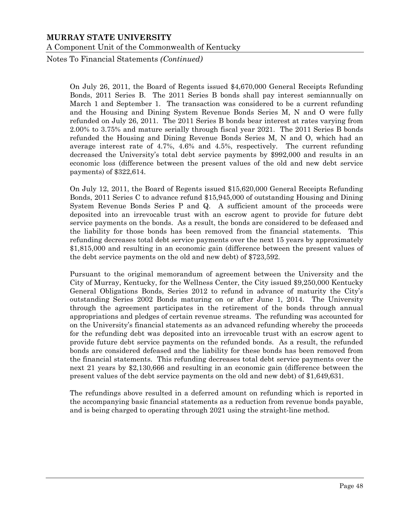Notes To Financial Statements *(Continued)*

On July 26, 2011, the Board of Regents issued \$4,670,000 General Receipts Refunding Bonds, 2011 Series B. The 2011 Series B bonds shall pay interest semiannually on March 1 and September 1. The transaction was considered to be a current refunding and the Housing and Dining System Revenue Bonds Series M, N and O were fully refunded on July 26, 2011. The 2011 Series B bonds bear interest at rates varying from 2.00% to 3.75% and mature serially through fiscal year 2021. The 2011 Series B bonds refunded the Housing and Dining Revenue Bonds Series M, N and O, which had an average interest rate of 4.7%, 4.6% and 4.5%, respectively. The current refunding decreased the University's total debt service payments by \$992,000 and results in an economic loss (difference between the present values of the old and new debt service payments) of \$322,614.

On July 12, 2011, the Board of Regents issued \$15,620,000 General Receipts Refunding Bonds, 2011 Series C to advance refund \$15,945,000 of outstanding Housing and Dining System Revenue Bonds Series P and Q. A sufficient amount of the proceeds were deposited into an irrevocable trust with an escrow agent to provide for future debt service payments on the bonds. As a result, the bonds are considered to be defeased and the liability for those bonds has been removed from the financial statements. This refunding decreases total debt service payments over the next 15 years by approximately \$1,815,000 and resulting in an economic gain (difference between the present values of the debt service payments on the old and new debt) of \$723,592.

Pursuant to the original memorandum of agreement between the University and the City of Murray, Kentucky, for the Wellness Center, the City issued \$9,250,000 Kentucky General Obligations Bonds, Series 2012 to refund in advance of maturity the City's outstanding Series 2002 Bonds maturing on or after June 1, 2014. The University through the agreement participates in the retirement of the bonds through annual appropriations and pledges of certain revenue streams. The refunding was accounted for on the University's financial statements as an advanced refunding whereby the proceeds for the refunding debt was deposited into an irrevocable trust with an escrow agent to provide future debt service payments on the refunded bonds. As a result, the refunded bonds are considered defeased and the liability for these bonds has been removed from the financial statements. This refunding decreases total debt service payments over the next 21 years by \$2,130,666 and resulting in an economic gain (difference between the present values of the debt service payments on the old and new debt) of \$1,649,631.

The refundings above resulted in a deferred amount on refunding which is reported in the accompanying basic financial statements as a reduction from revenue bonds payable, and is being charged to operating through 2021 using the straight-line method.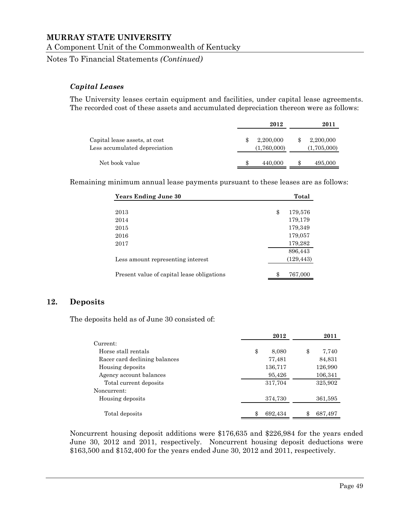A Component Unit of the Commonwealth of Kentucky

Notes To Financial Statements *(Continued)*

#### *Capital Leases*

The University leases certain equipment and facilities, under capital lease agreements. The recorded cost of these assets and accumulated depreciation thereon were as follows:

|                                                                | 2012                     |    | 2011                     |
|----------------------------------------------------------------|--------------------------|----|--------------------------|
| Capital lease assets, at cost<br>Less accumulated depreciation | 2,200,000<br>(1,760,000) |    | 2,200,000<br>(1,705,000) |
| Net book value                                                 | 440,000                  | ъĐ | 495,000                  |

Remaining minimum annual lease payments pursuant to these leases are as follows:

| <b>Years Ending June 30</b>                | Total         |
|--------------------------------------------|---------------|
|                                            |               |
| 2013                                       | \$<br>179,576 |
| 2014                                       | 179,179       |
| 2015                                       | 179,349       |
| 2016                                       | 179,057       |
| 2017                                       | 179,282       |
|                                            | 896,443       |
| Less amount representing interest          | (129, 443)    |
| Present value of capital lease obligations | \$<br>767,000 |

#### **12. Deposits**

The deposits held as of June 30 consisted of:

|                               | 2012        | 2011          |
|-------------------------------|-------------|---------------|
| Current:                      |             |               |
| Horse stall rentals           | \$<br>8,080 | \$<br>7,740   |
| Racer card declining balances | 77,481      | 84,831        |
| Housing deposits              | 136,717     | 126,990       |
| Agency account balances       | 95,426      | 106,341       |
| Total current deposits        | 317,704     | 325,902       |
| Noncurrent:                   |             |               |
| Housing deposits              | 374,730     | 361,595       |
| Total deposits                | 692,434     | \$<br>687,497 |

Noncurrent housing deposit additions were \$176,635 and \$226,984 for the years ended June 30, 2012 and 2011, respectively. Noncurrent housing deposit deductions were \$163,500 and \$152,400 for the years ended June 30, 2012 and 2011, respectively.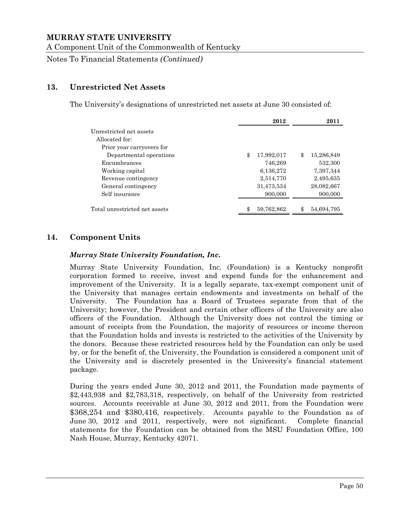A Component Unit of the Commonwealth of Kentucky

Notes To Financial Statements *(Continued)*

## **13. Unrestricted Net Assets**

The University's designations of unrestricted net assets at June 30 consisted of:

|                               | 2012             | 2011             |
|-------------------------------|------------------|------------------|
| Unrestricted net assets       |                  |                  |
| Allocated for:                |                  |                  |
| Prior year carryovers for     |                  |                  |
| Departmental operations       | \$<br>17,992,017 | \$<br>15,286,849 |
| Encumbrances                  | 746,269          | 532,300          |
| Working capital               | 6,136,272        | 7,397,344        |
| Revenue contingency           | 2,514,770        | 2,495,635        |
| General contingency           | 31,473,534       | 28,082,667       |
| Self insurance                | 900,000          | 900,000          |
|                               |                  |                  |
| Total unrestricted net assets | \$<br>59,762,862 | \$<br>54,694,795 |

## **14. Component Units**

#### *Murray State University Foundation, Inc.*

Murray State University Foundation, Inc. (Foundation) is a Kentucky nonprofit corporation formed to receive, invest and expend funds for the enhancement and improvement of the University. It is a legally separate, tax-exempt component unit of the University that manages certain endowments and investments on behalf of the University. The Foundation has a Board of Trustees separate from that of the University; however, the President and certain other officers of the University are also officers of the Foundation. Although the University does not control the timing or amount of receipts from the Foundation, the majority of resources or income thereon that the Foundation holds and invests is restricted to the activities of the University by the donors. Because these restricted resources held by the Foundation can only be used by, or for the benefit of, the University, the Foundation is considered a component unit of the University and is discretely presented in the University's financial statement package.

During the years ended June 30, 2012 and 2011, the Foundation made payments of \$2,443,938 and \$2,783,318, respectively, on behalf of the University from restricted sources. Accounts receivable at June 30, 2012 and 2011, from the Foundation were \$368,254 and \$380,416, respectively. Accounts payable to the Foundation as of June 30, 2012 and 2011, respectively, were not significant. Complete financial statements for the Foundation can be obtained from the MSU Foundation Office, 100 Nash House, Murray, Kentucky 42071.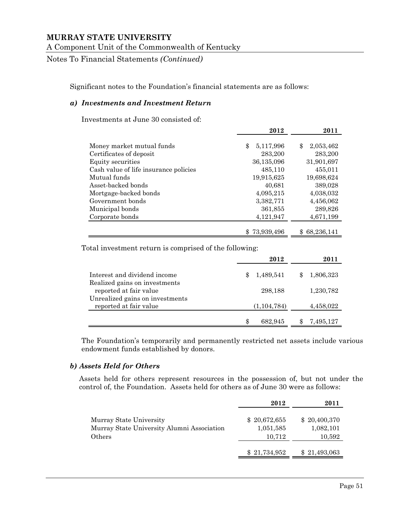Notes To Financial Statements *(Continued)*

Significant notes to the Foundation's financial statements are as follows:

#### *a) Investments and Investment Return*

Investments at June 30 consisted of:

|                                       | 2012            | 2011              |
|---------------------------------------|-----------------|-------------------|
|                                       |                 |                   |
| Money market mutual funds             | \$<br>5,117,996 | 2,053,462<br>\$   |
| Certificates of deposit               | 283,200         | 283,200           |
| Equity securities                     | 36,135,096      | 31,901,697        |
| Cash value of life insurance policies | 485,110         | 455,011           |
| Mutual funds                          | 19,915,625      | 19,698,624        |
| Asset-backed bonds                    | 40,681          | 389,028           |
| Mortgage-backed bonds                 | 4,095,215       | 4,038,032         |
| Government bonds                      | 3,382,771       | 4,456,062         |
| Municipal bonds                       | 361,855         | 289,826           |
| Corporate bonds                       | 4,121,947       | 4,671,199         |
|                                       |                 |                   |
|                                       | \$73,939,496    | 68,236,141<br>SS. |

Total investment return is comprised of the following:

|                                                           | 2012            | 2011      |
|-----------------------------------------------------------|-----------------|-----------|
| Interest and dividend income                              | 1,489,541<br>\$ | 1,806,323 |
| Realized gains on investments<br>reported at fair value   | 298,188         | 1,230,782 |
| Unrealized gains on investments<br>reported at fair value | (1, 104, 784)   | 4,458,022 |
|                                                           | 682.945         | 7,495,127 |

The Foundation's temporarily and permanently restricted net assets include various endowment funds established by donors.

#### *b) Assets Held for Others*

Assets held for others represent resources in the possession of, but not under the control of, the Foundation. Assets held for others as of June 30 were as follows:

|                                            | 2012         | 2011         |
|--------------------------------------------|--------------|--------------|
| Murray State University                    | \$20,672,655 | \$20,400,370 |
| Murray State University Alumni Association | 1,051,585    | 1,082,101    |
| Others                                     | 10,712       | 10,592       |
|                                            | \$21,734,952 | \$21,493,063 |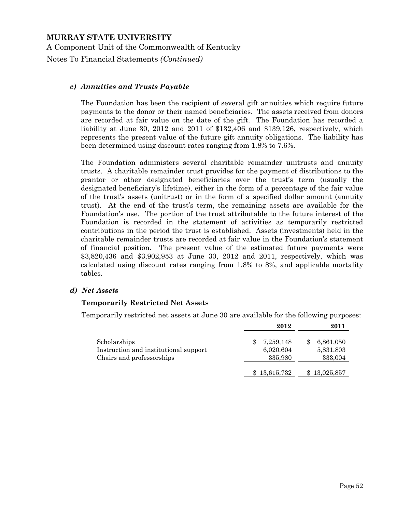Notes To Financial Statements *(Continued)*

#### *c) Annuities and Trusts Payable*

The Foundation has been the recipient of several gift annuities which require future payments to the donor or their named beneficiaries. The assets received from donors are recorded at fair value on the date of the gift. The Foundation has recorded a liability at June 30, 2012 and 2011 of \$132,406 and \$139,126, respectively, which represents the present value of the future gift annuity obligations. The liability has been determined using discount rates ranging from 1.8% to 7.6%.

The Foundation administers several charitable remainder unitrusts and annuity trusts. A charitable remainder trust provides for the payment of distributions to the grantor or other designated beneficiaries over the trust's term (usually the designated beneficiary's lifetime), either in the form of a percentage of the fair value of the trust's assets (unitrust) or in the form of a specified dollar amount (annuity trust). At the end of the trust's term, the remaining assets are available for the Foundation's use. The portion of the trust attributable to the future interest of the Foundation is recorded in the statement of activities as temporarily restricted contributions in the period the trust is established. Assets (investments) held in the charitable remainder trusts are recorded at fair value in the Foundation's statement of financial position. The present value of the estimated future payments were \$3,820,436 and \$3,902,953 at June 30, 2012 and 2011, respectively, which was calculated using discount rates ranging from 1.8% to 8%, and applicable mortality tables.

#### *d) Net Assets*

#### **Temporarily Restricted Net Assets**

Temporarily restricted net assets at June 30 are available for the following purposes:

|                                                                                    | 2012                              | 2011                              |
|------------------------------------------------------------------------------------|-----------------------------------|-----------------------------------|
| Scholarships<br>Instruction and institutional support<br>Chairs and professorships | 7,259,148<br>6,020,604<br>335,980 | 6,861,050<br>5,831,803<br>333,004 |
|                                                                                    | 13,615,732                        | 13,025,857                        |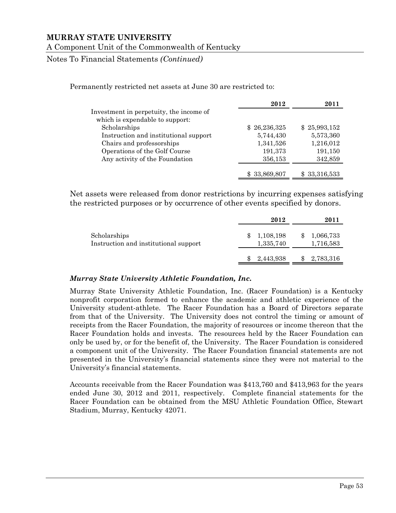Notes To Financial Statements *(Continued)*

Permanently restricted net assets at June 30 are restricted to:

|                                         | 2012         | 2011         |
|-----------------------------------------|--------------|--------------|
| Investment in perpetuity, the income of |              |              |
| which is expendable to support:         |              |              |
| Scholarships                            | \$26,236,325 | \$25,993,152 |
| Instruction and institutional support   | 5,744,430    | 5,573,360    |
| Chairs and professorships               | 1,341,526    | 1,216,012    |
| Operations of the Golf Course           | 191,373      | 191,150      |
| Any activity of the Foundation          | 356,153      | 342,859      |
|                                         | \$33,869,807 | \$33,316,533 |

Net assets were released from donor restrictions by incurring expenses satisfying the restricted purposes or by occurrence of other events specified by donors.

|                                                       | 2012                   | 2011                   |
|-------------------------------------------------------|------------------------|------------------------|
| Scholarships<br>Instruction and institutional support | 1,108,198<br>1,335,740 | 1,066,733<br>1,716,583 |
|                                                       | 2,443,938              | 2,783,316              |

## *Murray State University Athletic Foundation, Inc.*

Murray State University Athletic Foundation, Inc. (Racer Foundation) is a Kentucky nonprofit corporation formed to enhance the academic and athletic experience of the University student-athlete. The Racer Foundation has a Board of Directors separate from that of the University. The University does not control the timing or amount of receipts from the Racer Foundation, the majority of resources or income thereon that the Racer Foundation holds and invests. The resources held by the Racer Foundation can only be used by, or for the benefit of, the University. The Racer Foundation is considered a component unit of the University. The Racer Foundation financial statements are not presented in the University's financial statements since they were not material to the University's financial statements.

Accounts receivable from the Racer Foundation was \$413,760 and \$413,963 for the years ended June 30, 2012 and 2011, respectively. Complete financial statements for the Racer Foundation can be obtained from the MSU Athletic Foundation Office, Stewart Stadium, Murray, Kentucky 42071.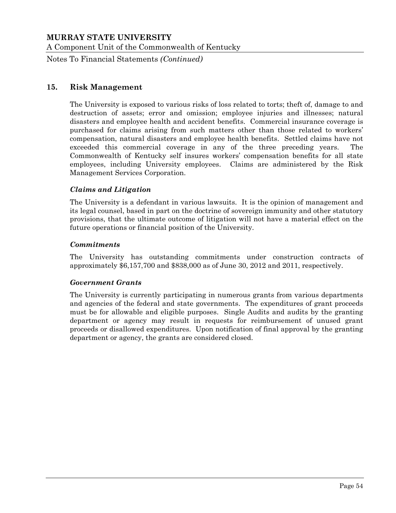Notes To Financial Statements *(Continued)*

#### **15. Risk Management**

The University is exposed to various risks of loss related to torts; theft of, damage to and destruction of assets; error and omission; employee injuries and illnesses; natural disasters and employee health and accident benefits. Commercial insurance coverage is purchased for claims arising from such matters other than those related to workers' compensation, natural disasters and employee health benefits. Settled claims have not exceeded this commercial coverage in any of the three preceding years. The Commonwealth of Kentucky self insures workers' compensation benefits for all state employees, including University employees. Claims are administered by the Risk Management Services Corporation.

#### *Claims and Litigation*

The University is a defendant in various lawsuits. It is the opinion of management and its legal counsel, based in part on the doctrine of sovereign immunity and other statutory provisions, that the ultimate outcome of litigation will not have a material effect on the future operations or financial position of the University.

#### *Commitments*

The University has outstanding commitments under construction contracts of approximately \$6,157,700 and \$838,000 as of June 30, 2012 and 2011, respectively.

#### *Government Grants*

The University is currently participating in numerous grants from various departments and agencies of the federal and state governments. The expenditures of grant proceeds must be for allowable and eligible purposes. Single Audits and audits by the granting department or agency may result in requests for reimbursement of unused grant proceeds or disallowed expenditures. Upon notification of final approval by the granting department or agency, the grants are considered closed.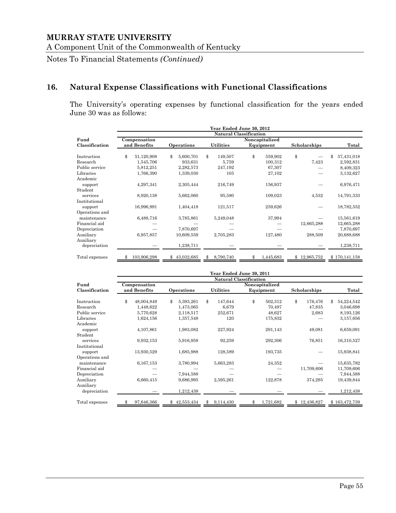Notes To Financial Statements *(Continued)*

## **16. Natural Expense Classifications with Functional Classifications**

The University's operating expenses by functional classification for the years ended June 30 was as follows:

|                | Year Ended June 30, 2012      |              |    |            |    |                  |    |                |                  |            |    |               |
|----------------|-------------------------------|--------------|----|------------|----|------------------|----|----------------|------------------|------------|----|---------------|
|                | <b>Natural Classification</b> |              |    |            |    |                  |    |                |                  |            |    |               |
| Fund           |                               | Compensation |    |            |    |                  |    | Noncapitalized |                  |            |    |               |
| Classification |                               | and Benefits |    | Operations |    | <b>Utilities</b> |    | Equipment      | Scholarships     |            |    | Total         |
| Instruction    | \$                            | 51,120,908   | \$ | 5,600,701  | \$ | 149,507          | \$ | 559,902        | \$               |            | \$ | 57,431,018    |
| Research       |                               | 1,545,706    |    | 933,631    |    | 5,759            |    | 100,312        |                  | 7,423      |    | 2,592,831     |
| Public service |                               | 5,812,251    |    | 2,282,573  |    | 247,192          |    | 67,307         |                  |            |    | 8,409,323     |
| Libraries      |                               | 1,766,390    |    | 1,339,030  |    | 105              |    | 27,102         |                  |            |    | 3,132,627     |
| Academic       |                               |              |    |            |    |                  |    |                |                  |            |    |               |
| support        |                               | 4,297,341    |    | 2,305,444  |    | 216,749          |    | 156,937        |                  |            |    | 6,976,471     |
| Student        |                               |              |    |            |    |                  |    |                |                  |            |    |               |
| services       |                               | 8,920,138    |    | 5,662,060  |    | 95,580           |    | 109,023        |                  | 4,532      |    | 14,791,333    |
| Institutional  |                               |              |    |            |    |                  |    |                |                  |            |    |               |
| support        |                               | 16,996,991   |    | 1,404,418  |    | 121,517          |    | 259,626        |                  |            |    | 18,782,552    |
| Operations and |                               |              |    |            |    |                  |    |                |                  |            |    |               |
| maintenance    |                               | 6,488,716    |    | 3,785,861  |    | 5,249,048        |    | 37,994         |                  |            |    | 15,561,619    |
| Financial aid  |                               |              |    |            |    |                  |    |                |                  | 12,665,288 |    | 12,665,288    |
| Depreciation   |                               |              |    | 7,870,697  |    |                  |    |                |                  |            |    | 7,870,697     |
| Auxiliary      |                               | 6,957,857    |    | 10,609,559 |    | 2,705,283        |    | 127,480        |                  | 288,509    |    | 20,688,688    |
| Auxiliary      |                               |              |    |            |    |                  |    |                |                  |            |    |               |
| depreciation   |                               |              |    | 1,238,711  |    |                  |    |                |                  |            |    | 1,238,711     |
| Total expenses | \$                            | 103,906,298  | \$ | 43,032,685 | \$ | 8,790,740        | \$ | 1,445,683      | 12,965,752<br>\$ |            |    | \$170,141,158 |

|                | Year Ended June 30, 2011                                 |                            |                  |                 |                          |                  |  |  |  |  |  |
|----------------|----------------------------------------------------------|----------------------------|------------------|-----------------|--------------------------|------------------|--|--|--|--|--|
| Fund           | Natural Classification<br>Noncapitalized<br>Compensation |                            |                  |                 |                          |                  |  |  |  |  |  |
| Classification | and Benefits                                             | Operations                 | <b>Utilities</b> | Equipment       | Scholarships             | Total            |  |  |  |  |  |
| Instruction    | ${\mathfrak{F}}$<br>48,004,849                           | \$<br>5,393,261            | \$<br>147,644    | \$<br>502,312   | ${\mathbb S}$<br>176,476 | \$<br>54,224,542 |  |  |  |  |  |
| Research       | 1,448,622                                                | 1,473,065                  | 6,679            | 70,497          | 47,835                   | 3,046,698        |  |  |  |  |  |
| Public service | 5,770,628                                                | 2,118,517                  | 252,671          | 48,627          | 2,683                    | 8,193,126        |  |  |  |  |  |
| Libraries      | 1,624,156                                                | 1,357,548                  | 120              | 175,832         |                          | 3,157,656        |  |  |  |  |  |
| Academic       |                                                          |                            |                  |                 |                          |                  |  |  |  |  |  |
| support        | 4,107,861                                                | 1,983,082                  | 227,924          | 291,143         | 49,081                   | 6,659,091        |  |  |  |  |  |
| Student        |                                                          |                            |                  |                 |                          |                  |  |  |  |  |  |
| services       | 9,932,153                                                | 5,916,958                  | 92,259           | 292,306         | 76,851                   | 16,310,527       |  |  |  |  |  |
| Institutional  |                                                          |                            |                  |                 |                          |                  |  |  |  |  |  |
| support        | 13,930,529                                               | 1,685,988                  | 128,589          | 193,735         |                          | 15,938,841       |  |  |  |  |  |
| Operations and |                                                          |                            |                  |                 |                          |                  |  |  |  |  |  |
| maintenance    | 6,167,153                                                | 3,780,994                  | 5,663,283        | 24,352          |                          | 15,635,782       |  |  |  |  |  |
| Financial aid  |                                                          |                            |                  |                 | 11,709,606               | 11,709,606       |  |  |  |  |  |
| Depreciation   |                                                          | 7,944,588                  |                  |                 |                          | 7,944,588        |  |  |  |  |  |
| Auxiliary      | 6,660,415                                                | 9,686,995                  | 2,595,261        | 122,878         | 374,295                  | 19,439,844       |  |  |  |  |  |
| Auxiliary      |                                                          |                            |                  |                 |                          |                  |  |  |  |  |  |
| depreciation   |                                                          | 1,212,438                  |                  |                 |                          | 1,212,438        |  |  |  |  |  |
| Total expenses | 97,646,366<br>\$                                         | 42,553,434<br>$\mathbb{S}$ | 9,114,430<br>\$  | 1,721,682<br>\$ | 12,436,827<br>\$         | \$163,472,739    |  |  |  |  |  |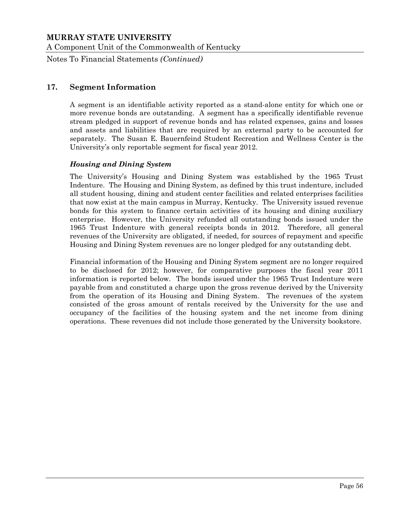Notes To Financial Statements *(Continued)*

## **17. Segment Information**

A segment is an identifiable activity reported as a stand-alone entity for which one or more revenue bonds are outstanding. A segment has a specifically identifiable revenue stream pledged in support of revenue bonds and has related expenses, gains and losses and assets and liabilities that are required by an external party to be accounted for separately. The Susan E. Bauernfeind Student Recreation and Wellness Center is the University's only reportable segment for fiscal year 2012.

#### *Housing and Dining System*

The University's Housing and Dining System was established by the 1965 Trust Indenture. The Housing and Dining System, as defined by this trust indenture, included all student housing, dining and student center facilities and related enterprises facilities that now exist at the main campus in Murray, Kentucky. The University issued revenue bonds for this system to finance certain activities of its housing and dining auxiliary enterprise. However, the University refunded all outstanding bonds issued under the 1965 Trust Indenture with general receipts bonds in 2012. Therefore, all general revenues of the University are obligated, if needed, for sources of repayment and specific Housing and Dining System revenues are no longer pledged for any outstanding debt.

Financial information of the Housing and Dining System segment are no longer required to be disclosed for 2012; however, for comparative purposes the fiscal year 2011 information is reported below. The bonds issued under the 1965 Trust Indenture were payable from and constituted a charge upon the gross revenue derived by the University from the operation of its Housing and Dining System. The revenues of the system consisted of the gross amount of rentals received by the University for the use and occupancy of the facilities of the housing system and the net income from dining operations. These revenues did not include those generated by the University bookstore.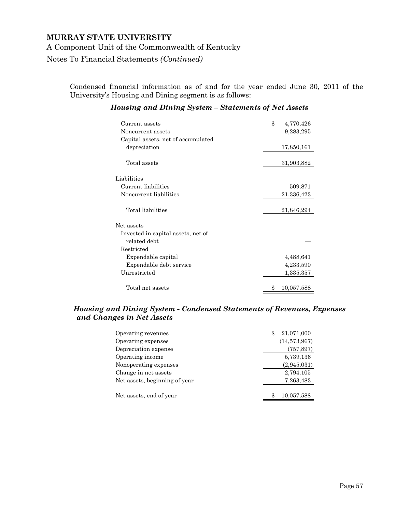Notes To Financial Statements *(Continued)*

Condensed financial information as of and for the year ended June 30, 2011 of the University's Housing and Dining segment is as follows:

#### *Housing and Dining System – Statements of Net Assets*

| Current assets<br>Noncurrent assets                | \$<br>4,770,426<br>9,283,295 |
|----------------------------------------------------|------------------------------|
| Capital assets, net of accumulated<br>depreciation | 17,850,161                   |
| Total assets                                       | 31,903,882                   |
| Liabilities                                        |                              |
| Current liabilities                                | 509,871                      |
| Noncurrent liabilities                             | 21,336,423                   |
|                                                    |                              |
| Total liabilities                                  | 21,846,294                   |
| Net assets                                         |                              |
| Invested in capital assets, net of                 |                              |
| related debt                                       |                              |
| Restricted                                         |                              |
| Expendable capital                                 | 4,488,641                    |
| Expendable debt service                            | 4,233,590                    |
| Unrestricted                                       | 1,335,357                    |
|                                                    |                              |
| Total net assets                                   | \$<br>10,057,588             |

#### *Housing and Dining System - Condensed Statements of Revenues, Expenses and Changes in Net Assets*

| Operating revenues            | 21,071,000<br>\$ |
|-------------------------------|------------------|
| Operating expenses            | (14,573,967)     |
| Depreciation expense          | (757, 897)       |
| Operating income              | 5,739,136        |
| Nonoperating expenses         | (2,945,031)      |
| Change in net assets          | 2,794,105        |
| Net assets, beginning of year | 7,263,483        |
|                               |                  |
| Net assets, end of year       | 10,057,588       |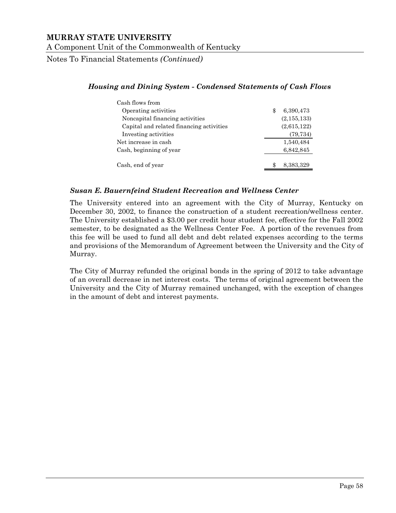Notes To Financial Statements *(Continued)*

#### *Housing and Dining System - Condensed Statements of Cash Flows*

| Cash flows from                          |                |
|------------------------------------------|----------------|
| Operating activities                     | 6,390,473<br>S |
| Noncapital financing activities          | (2, 155, 133)  |
| Capital and related financing activities | (2,615,122)    |
| Investing activities                     | (79, 734)      |
| Net increase in cash                     | 1,540,484      |
| Cash, beginning of year                  | 6,842,845      |
| Cash, end of year                        | 8,383,329      |

#### *Susan E. Bauernfeind Student Recreation and Wellness Center*

The University entered into an agreement with the City of Murray, Kentucky on December 30, 2002, to finance the construction of a student recreation/wellness center. The University established a \$3.00 per credit hour student fee, effective for the Fall 2002 semester, to be designated as the Wellness Center Fee. A portion of the revenues from this fee will be used to fund all debt and debt related expenses according to the terms and provisions of the Memorandum of Agreement between the University and the City of Murray.

The City of Murray refunded the original bonds in the spring of 2012 to take advantage of an overall decrease in net interest costs. The terms of original agreement between the University and the City of Murray remained unchanged, with the exception of changes in the amount of debt and interest payments.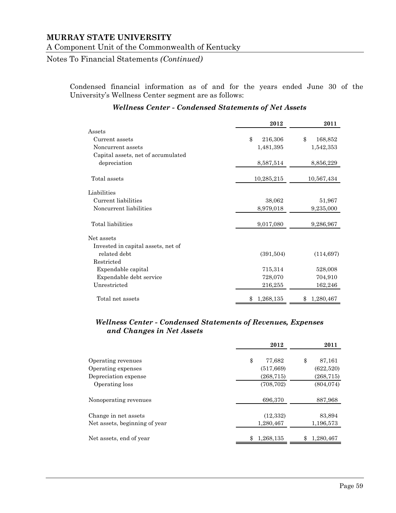Notes To Financial Statements *(Continued)*

Condensed financial information as of and for the years ended June 30 of the University's Wellness Center segment are as follows:

|                                    | 2012            | 2011           |
|------------------------------------|-----------------|----------------|
| Assets                             |                 |                |
| Current assets                     | \$<br>216,306   | \$<br>168,852  |
| Noncurrent assets                  | 1,481,395       | 1,542,353      |
| Capital assets, net of accumulated |                 |                |
| depreciation                       | 8,587,514       | 8,856,229      |
| Total assets                       | 10,285,215      | 10,567,434     |
| Liabilities                        |                 |                |
| Current liabilities                | 38,062          | 51,967         |
| Noncurrent liabilities             | 8,979,018       | 9,235,000      |
| Total liabilities                  | 9,017,080       | 9,286,967      |
| Net assets                         |                 |                |
| Invested in capital assets, net of |                 |                |
| related debt                       | (391,504)       | (114, 697)     |
| Restricted                         |                 |                |
| Expendable capital                 | 715,314         | 528,008        |
| Expendable debt service            | 728,070         | 704,910        |
| Unrestricted                       | 216,255         | 162,246        |
| Total net assets                   | 1,268,135<br>\$ | 1,280,467<br>S |

#### *Wellness Center - Condensed Statements of Net Assets*

#### *Wellness Center - Condensed Statements of Revenues, Expenses and Changes in Net Assets*

|                               | 2012         | 2011            |
|-------------------------------|--------------|-----------------|
| Operating revenues            | \$<br>77,682 | \$<br>87,161    |
| Operating expenses            | (517, 669)   | (622,520)       |
| Depreciation expense          | (268, 715)   | (268, 715)      |
| Operating loss                | (708, 702)   | (804, 074)      |
| Nonoperating revenues         | 696,370      | 887,968         |
| Change in net assets          | (12, 332)    | 83,894          |
| Net assets, beginning of year | 1,280,467    | 1,196,573       |
| Net assets, end of year       | 1,268,135    | 1,280,467<br>\$ |